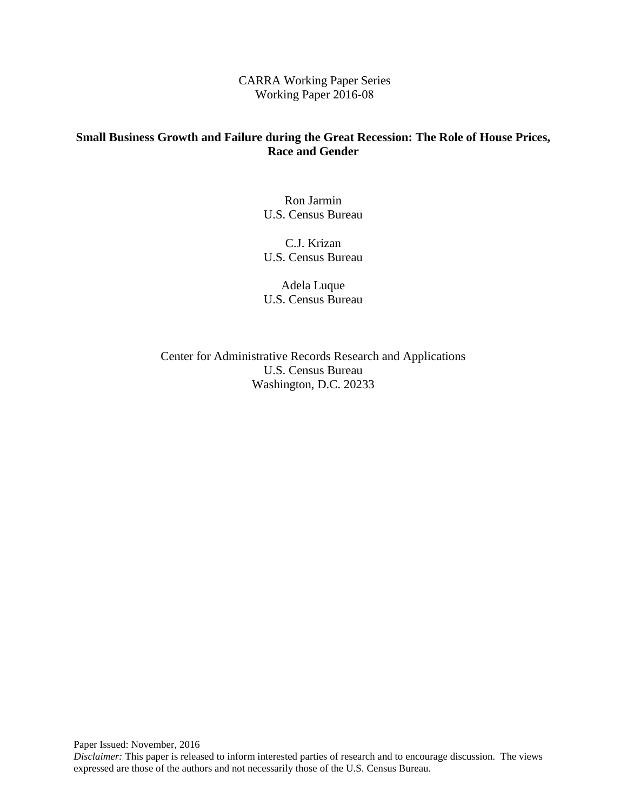CARRA Working Paper Series Working Paper 2016-08

# **Small Business Growth and Failure during the Great Recession: The Role of House Prices, Race and Gender**

 U.S. Census Bureau Ron Jarmin

C.J. Krizan U.S. Census Bureau

Adela Luque U.S. Census Bureau

Center for Administrative Records Research and Applications U.S. Census Bureau Washington, D.C. 20233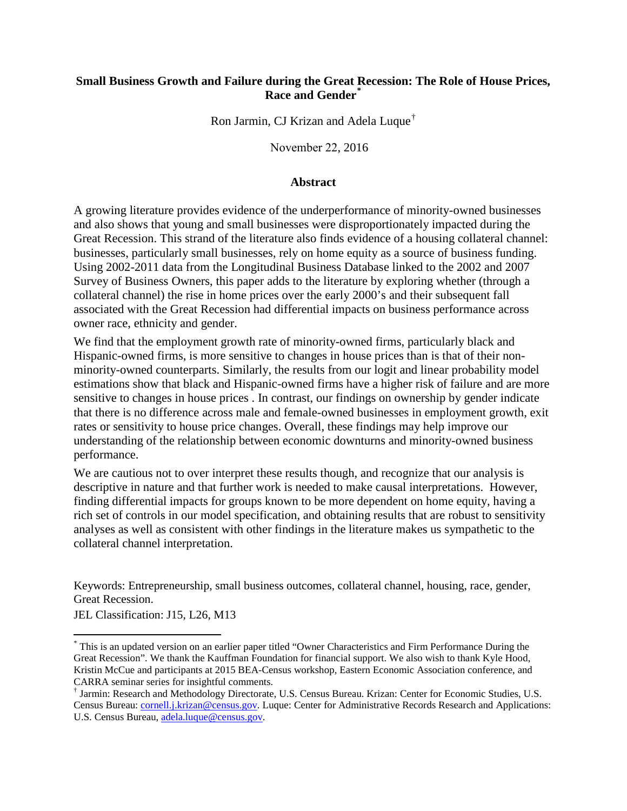## **Small Business Growth and Failure during the Great Recession: The Role of House Prices, Race and Gender[\\*](#page-1-0)**

Ron Jarmin, CJ Krizan and Adela Luque[†](#page-1-1)

November 22, 2016

#### **Abstract**

 businesses, particularly small businesses, rely on home equity as a source of business funding. owner race, ethnicity and gender. A growing literature provides evidence of the underperformance of minority-owned businesses and also shows that young and small businesses were disproportionately impacted during the Great Recession. This strand of the literature also finds evidence of a housing collateral channel: Using 2002-2011 data from the Longitudinal Business Database linked to the 2002 and 2007 Survey of Business Owners, this paper adds to the literature by exploring whether (through a collateral channel) the rise in home prices over the early 2000's and their subsequent fall associated with the Great Recession had differential impacts on business performance across

 Hispanic-owned firms, is more sensitive to changes in house prices than is that of their non- that there is no difference across male and female-owned businesses in employment growth, exit We find that the employment growth rate of minority-owned firms, particularly black and minority-owned counterparts. Similarly, the results from our logit and linear probability model estimations show that black and Hispanic-owned firms have a higher risk of failure and are more sensitive to changes in house prices . In contrast, our findings on ownership by gender indicate rates or sensitivity to house price changes. Overall, these findings may help improve our understanding of the relationship between economic downturns and minority-owned business performance.

 finding differential impacts for groups known to be more dependent on home equity, having a We are cautious not to over interpret these results though, and recognize that our analysis is descriptive in nature and that further work is needed to make causal interpretations. However, rich set of controls in our model specification, and obtaining results that are robust to sensitivity analyses as well as consistent with other findings in the literature makes us sympathetic to the collateral channel interpretation.

Keywords: Entrepreneurship, small business outcomes, collateral channel, housing, race, gender, Great Recession.

JEL Classification: J15, L26, M13

 $\overline{a}$ 

<span id="page-1-0"></span><sup>\*</sup> This is an updated version on an earlier paper titled "Owner Characteristics and Firm Performance During the Great Recession". We thank the Kauffman Foundation for financial support. We also wish to thank Kyle Hood, Kristin McCue and participants at 2015 BEA-Census workshop, Eastern Economic Association conference, and CARRA seminar series for insightful comments.

<span id="page-1-1"></span><sup>†</sup> Jarmin: Research and Methodology Directorate, U.S. Census Bureau. Krizan: Center for Economic Studies, U.S. Census Bureau: [cornell.j.krizan@census.gov.](mailto:cornell.j.krizan@census.gov) Luque: Center for Administrative Records Research and Applications: U.S. Census Bureau, [adela.luque@census.gov.](mailto:adela.luque@census.gov)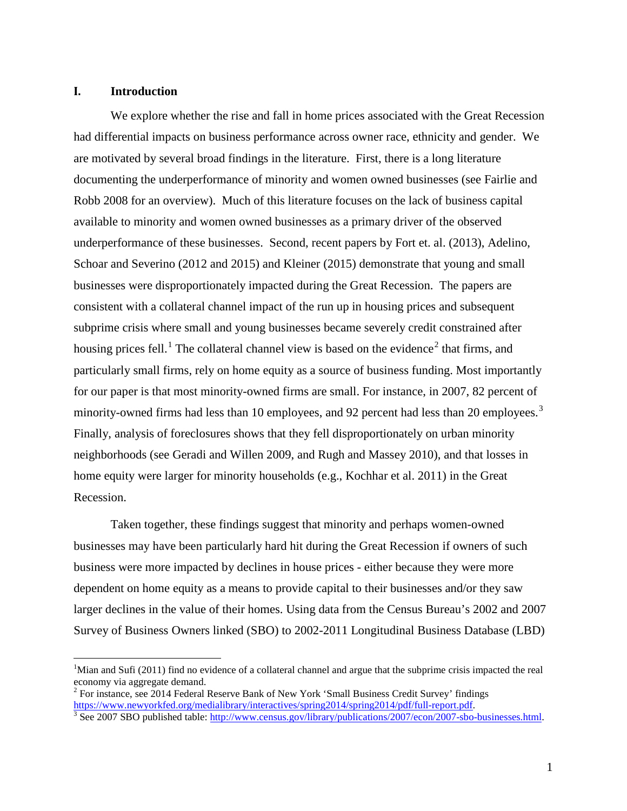#### **I. Introduction**

 $\overline{a}$ 

We explore whether the rise and fall in home prices associated with the Great Recession had differential impacts on business performance across owner race, ethnicity and gender. We are motivated by several broad findings in the literature. First, there is a long literature documenting the underperformance of minority and women owned businesses (see Fairlie and Robb 2008 for an overview). Much of this literature focuses on the lack of business capital available to minority and women owned businesses as a primary driver of the observed underperformance of these businesses. Second, recent papers by Fort et. al. (2013), Adelino, Schoar and Severino (2012 and 2015) and Kleiner (2015) demonstrate that young and small businesses were disproportionately impacted during the Great Recession. The papers are consistent with a collateral channel impact of the run up in housing prices and subsequent subprime crisis where small and young businesses became severely credit constrained after housing prices fell.<sup>[1](#page-2-0)</sup> The collateral channel view is based on the evidence<sup>[2](#page-2-1)</sup> that firms, and particularly small firms, rely on home equity as a source of business funding. Most importantly for our paper is that most minority-owned firms are small. For instance, in 2007, 82 percent of minority-owned firms had less than 10 employees, and 92 percent had less than 20 employees.<sup>[3](#page-2-2)</sup> Finally, analysis of foreclosures shows that they fell disproportionately on urban minority neighborhoods (see Geradi and Willen 2009, and Rugh and Massey 2010), and that losses in home equity were larger for minority households (e.g., Kochhar et al. 2011) in the Great Recession.

Taken together, these findings suggest that minority and perhaps women-owned businesses may have been particularly hard hit during the Great Recession if owners of such business were more impacted by declines in house prices - either because they were more dependent on home equity as a means to provide capital to their businesses and/or they saw larger declines in the value of their homes. Using data from the Census Bureau's 2002 and 2007 Survey of Business Owners linked (SBO) to 2002-2011 Longitudinal Business Database (LBD)

<span id="page-2-0"></span><sup>&</sup>lt;sup>1</sup>Mian and Sufi (2011) find no evidence of a collateral channel and argue that the subprime crisis impacted the real economy via aggregate demand.

<span id="page-2-1"></span><sup>2</sup> For instance, see 2014 Federal Reserve Bank of New York 'Small Business Credit Survey' findings [https://www.newyorkfed.org/medialibrary/interactives/spring2014/spring2014/pdf/full-report.pdf.](https://www.newyorkfed.org/medialibrary/interactives/spring2014/spring2014/pdf/full-report.pdf)<br><sup>3</sup> See 2007 SBO published table: http://www.census.gov/library/publications/2007/econ/2007-sbo-businesses.html.

<span id="page-2-2"></span>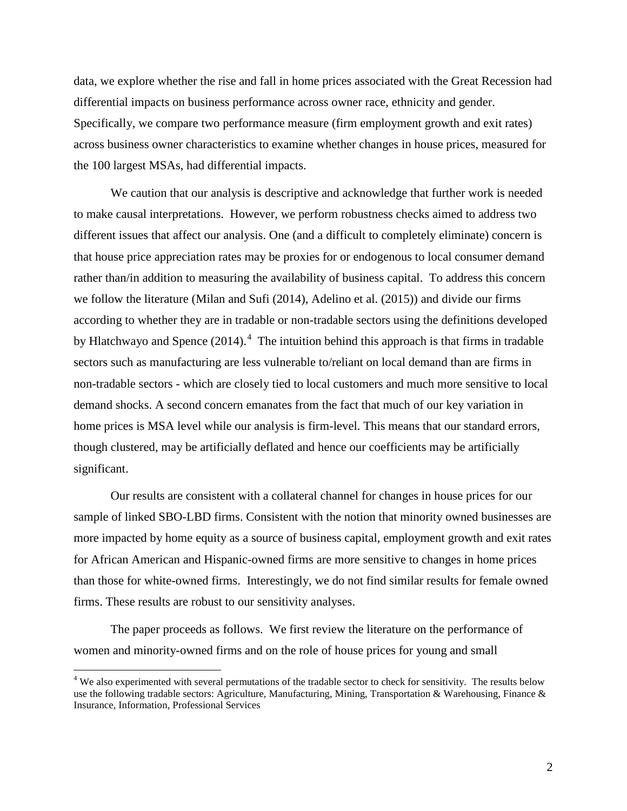across business owner characteristics to examine whether changes in house prices, measured for data, we explore whether the rise and fall in home prices associated with the Great Recession had differential impacts on business performance across owner race, ethnicity and gender. Specifically, we compare two performance measure (firm employment growth and exit rates) the 100 largest MSAs, had differential impacts.

 We caution that our analysis is descriptive and acknowledge that further work is needed to make causal interpretations. However, we perform robustness checks aimed to address two different issues that affect our analysis. One (and a difficult to completely eliminate) concern is rather than/in addition to measuring the availability of business capital. To address this concern by Hlatchwayo and Spence  $(2014)$ .<sup>4</sup> The intuition behind this approach is that firms in tradable sectors such as manufacturing are less vulnerable to/reliant on local demand than are firms in though clustered, may be artificially deflated and hence our coefficients may be artificially that house price appreciation rates may be proxies for or endogenous to local consumer demand we follow the literature (Milan and Sufi (2014), Adelino et al. (2015)) and divide our firms according to whether they are in tradable or non-tradable sectors using the definitions developed non-tradable sectors - which are closely tied to local customers and much more sensitive to local demand shocks. A second concern emanates from the fact that much of our key variation in home prices is MSA level while our analysis is firm-level. This means that our standard errors, significant.

 Our results are consistent with a collateral channel for changes in house prices for our more impacted by home equity as a source of business capital, employment growth and exit rates than those for white-owned firms. Interestingly, we do not find similar results for female owned sample of linked SBO-LBD firms. Consistent with the notion that minority owned businesses are for African American and Hispanic-owned firms are more sensitive to changes in home prices firms. These results are robust to our sensitivity analyses.

The paper proceeds as follows. We first review the literature on the performance of women and minority-owned firms and on the role of house prices for young and small

 $\overline{a}$ 

<span id="page-3-0"></span>use the following tradable sectors: Agriculture, Manufacturing, Mining, Transportation & Warehousing, Finance &  $4$  We also experimented with several permutations of the tradable sector to check for sensitivity. The results below Insurance, Information, Professional Services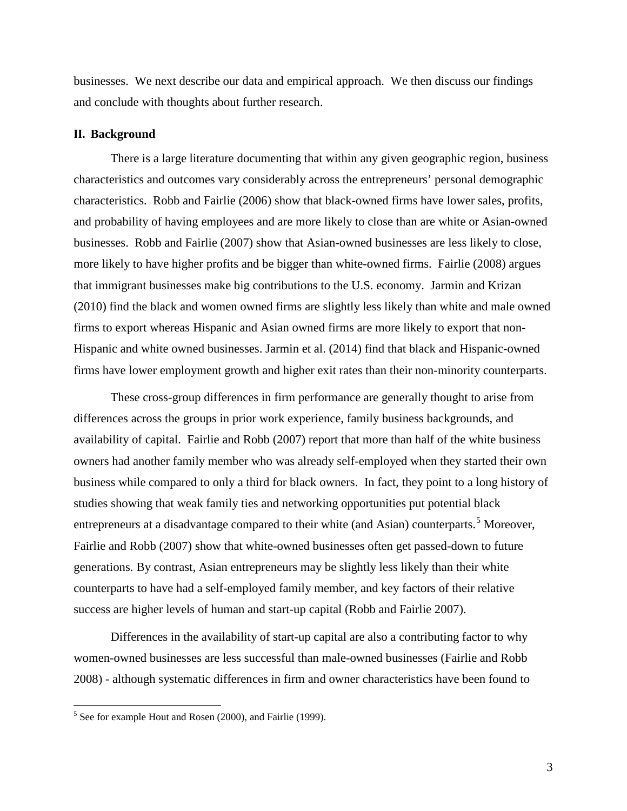businesses. We next describe our data and empirical approach. We then discuss our findings and conclude with thoughts about further research.

#### **II. Background**

 characteristics. Robb and Fairlie (2006) show that black-owned firms have lower sales, profits, and probability of having employees and are more likely to close than are white or Asian-owned that immigrant businesses make big contributions to the U.S. economy. Jarmin and Krizan (2010) find the black and women owned firms are slightly less likely than white and male owned There is a large literature documenting that within any given geographic region, business characteristics and outcomes vary considerably across the entrepreneurs' personal demographic businesses. Robb and Fairlie (2007) show that Asian-owned businesses are less likely to close, more likely to have higher profits and be bigger than white-owned firms. Fairlie (2008) argues firms to export whereas Hispanic and Asian owned firms are more likely to export that non-Hispanic and white owned businesses. Jarmin et al. (2014) find that black and Hispanic-owned firms have lower employment growth and higher exit rates than their non-minority counterparts.

 differences across the groups in prior work experience, family business backgrounds, and generations. By contrast, Asian entrepreneurs may be slightly less likely than their white counterparts to have had a self-employed family member, and key factors of their relative success are higher levels of human and start-up capital (Robb and Fairlie 2007). These cross-group differences in firm performance are generally thought to arise from availability of capital. Fairlie and Robb (2007) report that more than half of the white business owners had another family member who was already self-employed when they started their own business while compared to only a third for black owners. In fact, they point to a long history of studies showing that weak family ties and networking opportunities put potential black entrepreneurs at a disadvantage compared to their white (and Asian) counterparts.<sup>[5](#page-4-0)</sup> Moreover, Fairlie and Robb (2007) show that white-owned businesses often get passed-down to future

Differences in the availability of start-up capital are also a contributing factor to why women-owned businesses are less successful than male-owned businesses (Fairlie and Robb 2008) - although systematic differences in firm and owner characteristics have been found to

<u>.</u>

<span id="page-4-0"></span> $<sup>5</sup>$  See for example Hout and Rosen (2000), and Fairlie (1999).</sup>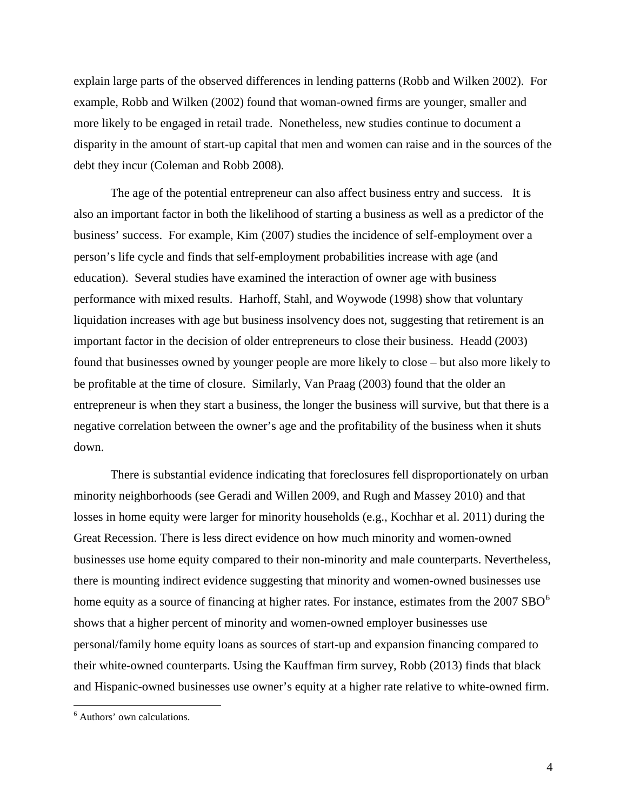explain large parts of the observed differences in lending patterns (Robb and Wilken 2002). For example, Robb and Wilken (2002) found that woman-owned firms are younger, smaller and more likely to be engaged in retail trade. Nonetheless, new studies continue to document a disparity in the amount of start-up capital that men and women can raise and in the sources of the debt they incur (Coleman and Robb 2008).

 business' success. For example, Kim (2007) studies the incidence of self-employment over a found that businesses owned by younger people are more likely to close – but also more likely to entrepreneur is when they start a business, the longer the business will survive, but that there is a The age of the potential entrepreneur can also affect business entry and success. It is also an important factor in both the likelihood of starting a business as well as a predictor of the person's life cycle and finds that self-employment probabilities increase with age (and education). Several studies have examined the interaction of owner age with business performance with mixed results. Harhoff, Stahl, and Woywode (1998) show that voluntary liquidation increases with age but business insolvency does not, suggesting that retirement is an important factor in the decision of older entrepreneurs to close their business. Headd (2003) be profitable at the time of closure. Similarly, Van Praag (2003) found that the older an negative correlation between the owner's age and the profitability of the business when it shuts down.

 minority neighborhoods (see Geradi and Willen 2009, and Rugh and Massey 2010) and that and Hispanic-owned businesses use owner's equity at a higher rate relative to white-owned firm. There is substantial evidence indicating that foreclosures fell disproportionately on urban losses in home equity were larger for minority households (e.g., Kochhar et al. 2011) during the Great Recession. There is less direct evidence on how much minority and women-owned businesses use home equity compared to their non-minority and male counterparts. Nevertheless, there is mounting indirect evidence suggesting that minority and women-owned businesses use home equity as a source of financing at higher rates. For instance, estimates from the  $2007 SBO<sup>6</sup>$  $2007 SBO<sup>6</sup>$  $2007 SBO<sup>6</sup>$ shows that a higher percent of minority and women-owned employer businesses use personal/family home equity loans as sources of start-up and expansion financing compared to their white-owned counterparts. Using the Kauffman firm survey, Robb (2013) finds that black

<u>.</u>

<span id="page-5-0"></span><sup>&</sup>lt;sup>6</sup> Authors' own calculations.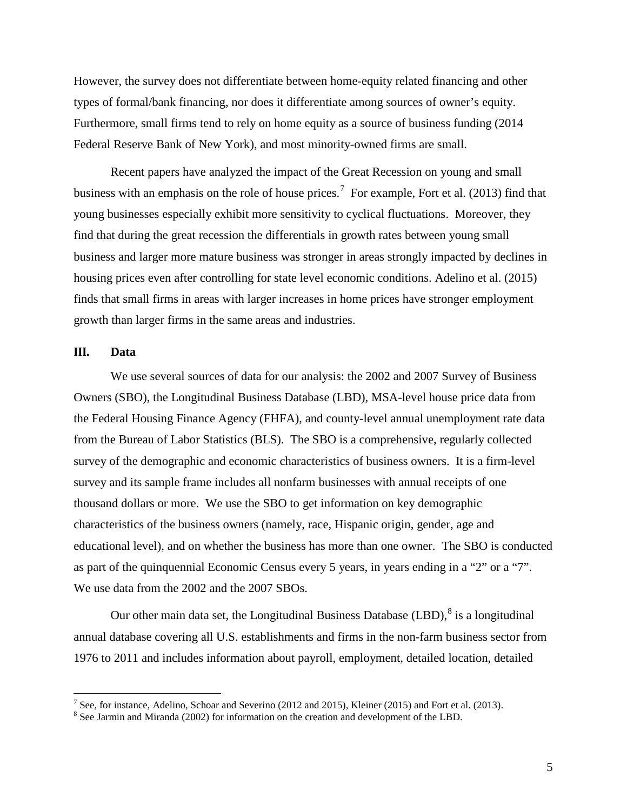types of formal/bank financing, nor does it differentiate among sources of owner's equity. Federal Reserve Bank of New York), and most minority-owned firms are small. However, the survey does not differentiate between home-equity related financing and other Furthermore, small firms tend to rely on home equity as a source of business funding (2014

business with an emphasis on the role of house prices.<sup>[7](#page-6-0)</sup> For example, Fort et al. (2013) find that find that during the great recession the differentials in growth rates between young small Recent papers have analyzed the impact of the Great Recession on young and small young businesses especially exhibit more sensitivity to cyclical fluctuations. Moreover, they business and larger more mature business was stronger in areas strongly impacted by declines in housing prices even after controlling for state level economic conditions. Adelino et al. (2015) finds that small firms in areas with larger increases in home prices have stronger employment growth than larger firms in the same areas and industries.

#### **III. Data**

-

 We use several sources of data for our analysis: the 2002 and 2007 Survey of Business Owners (SBO), the Longitudinal Business Database (LBD), MSA-level house price data from the Federal Housing Finance Agency (FHFA), and county-level annual unemployment rate data from the Bureau of Labor Statistics (BLS). The SBO is a comprehensive, regularly collected survey of the demographic and economic characteristics of business owners. It is a firm-level survey and its sample frame includes all nonfarm businesses with annual receipts of one thousand dollars or more. We use the SBO to get information on key demographic characteristics of the business owners (namely, race, Hispanic origin, gender, age and educational level), and on whether the business has more than one owner. The SBO is conducted as part of the quinquennial Economic Census every 5 years, in years ending in a "2" or a "7". We use data from the 2002 and the 2007 SBOs.

Our other main data set, the Longitudinal Business Database  $(LBD)$ ,  $\delta$  is a longitudinal annual database covering all U.S. establishments and firms in the non-farm business sector from 1976 to 2011 and includes information about payroll, employment, detailed location, detailed

<span id="page-6-0"></span><sup>&</sup>lt;sup>7</sup> See, for instance, Adelino, Schoar and Severino (2012 and 2015), Kleiner (2015) and Fort et al. (2013). <sup>8</sup> See Jarmin and Miranda (2002) for information on the creation and development of the LBD.

<span id="page-6-1"></span>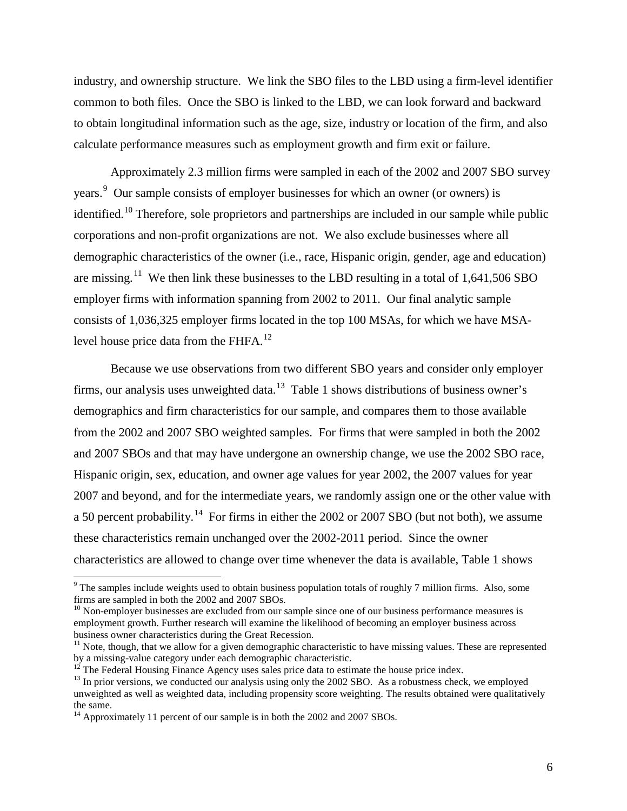industry, and ownership structure. We link the SBO files to the LBD using a firm-level identifier common to both files. Once the SBO is linked to the LBD, we can look forward and backward to obtain longitudinal information such as the age, size, industry or location of the firm, and also calculate performance measures such as employment growth and firm exit or failure.

 Approximately 2.3 million firms were sampled in each of the 2002 and 2007 SBO survey years.<sup>9</sup> Our sample consists of employer businesses for which an owner (or owners) is are missing.<sup>11</sup> We then link these businesses to the LBD resulting in a total of 1,641,506 SBO level house price data from the FHFA. $^{12}$ identified.<sup>10</sup> Therefore, sole proprietors and partnerships are included in our sample while public corporations and non-profit organizations are not. We also exclude businesses where all demographic characteristics of the owner (i.e., race, Hispanic origin, gender, age and education) employer firms with information spanning from 2002 to 2011. Our final analytic sample consists of 1,036,325 employer firms located in the top 100 MSAs, for which we have MSA-

firms, our analysis uses unweighted data.<sup>[13](#page-7-4)</sup> Table 1 shows distributions of business owner's demographics and firm characteristics for our sample, and compares them to those available from the 2002 and 2007 SBO weighted samples. For firms that were sampled in both the 2002 Hispanic origin, sex, education, and owner age values for year 2002, the 2007 values for year a 50 percent probability.<sup>[14](#page-7-5)</sup> For firms in either the 2002 or 2007 SBO (but not both), we assume these characteristics remain unchanged over the 2002-2011 period. Since the owner characteristics are allowed to change over time whenever the data is available, Table 1 shows Because we use observations from two different SBO years and consider only employer and 2007 SBOs and that may have undergone an ownership change, we use the 2002 SBO race, 2007 and beyond, and for the intermediate years, we randomly assign one or the other value with

 $\overline{a}$ 

<span id="page-7-0"></span> $9$  The samples include weights used to obtain business population totals of roughly 7 million firms. Also, some firms are sampled in both the 2002 and 2007 SBOs.

<span id="page-7-1"></span> $10$  Non-employer businesses are excluded from our sample since one of our business performance measures is employment growth. Further research will examine the likelihood of becoming an employer business across business owner characteristics during the Great Recession.

<span id="page-7-2"></span> $11$  Note, though, that we allow for a given demographic characteristic to have missing values. These are represented by a missing-value category under each demographic characteristic.<br><sup>12</sup> The Federal Housing Finance Agency uses sales price data to estimate the house price index.

<span id="page-7-4"></span><span id="page-7-3"></span><sup>&</sup>lt;sup>12</sup> The Federal Housing Finance Agency uses sales price data to estimate the house price index.<br><sup>13</sup> In prior versions, we conducted our analysis using only the 2002 SBO. As a robustness check, we employed unweighted as well as weighted data, including propensity score weighting. The results obtained were qualitatively the same.

<span id="page-7-5"></span><sup>&</sup>lt;sup>14</sup> Approximately 11 percent of our sample is in both the 2002 and 2007 SBOs.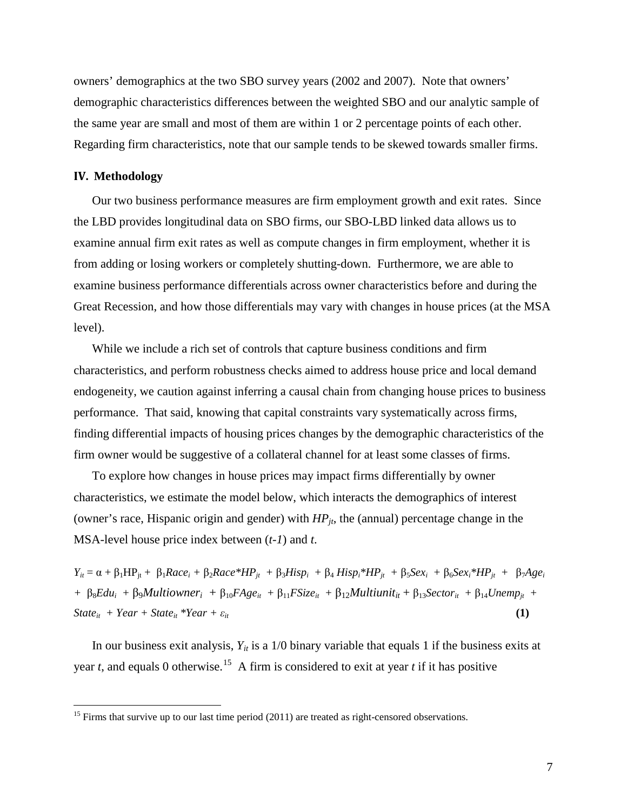owners' demographics at the two SBO survey years (2002 and 2007). Note that owners' demographic characteristics differences between the weighted SBO and our analytic sample of the same year are small and most of them are within 1 or 2 percentage points of each other. Regarding firm characteristics, note that our sample tends to be skewed towards smaller firms.

#### **IV. Methodology**

<u>.</u>

 from adding or losing workers or completely shutting-down. Furthermore, we are able to Our two business performance measures are firm employment growth and exit rates. Since the LBD provides longitudinal data on SBO firms, our SBO-LBD linked data allows us to examine annual firm exit rates as well as compute changes in firm employment, whether it is examine business performance differentials across owner characteristics before and during the Great Recession, and how those differentials may vary with changes in house prices (at the MSA level).

 firm owner would be suggestive of a collateral channel for at least some classes of firms. While we include a rich set of controls that capture business conditions and firm characteristics, and perform robustness checks aimed to address house price and local demand endogeneity, we caution against inferring a causal chain from changing house prices to business performance. That said, knowing that capital constraints vary systematically across firms, finding differential impacts of housing prices changes by the demographic characteristics of the

 To explore how changes in house prices may impact firms differentially by owner characteristics, we estimate the model below, which interacts the demographics of interest (owner's race, Hispanic origin and gender) with  $HP_{it}$ , the (annual) percentage change in the MSA-level house price index between (*t-1*) and *t*.

*Y<sub>it</sub>* = α + β<sub>1</sub>HP<sub>jt</sub> + β<sub>1</sub>Race<sub>i</sub> + β<sub>2</sub>Race\*HP<sub>jt</sub> + β<sub>3</sub>Hisp<sub>i</sub> + β<sub>4</sub> Hisp<sub>i</sub>\*HP<sub>jt</sub> + β<sub>5</sub>Sex<sub>i</sub> + β<sub>6</sub>Sex<sub>i</sub>\*HP<sub>jt</sub> + β<sub>7</sub>Age<sub>i</sub> + β<sub>8</sub>*Edu<sub>i</sub>* + β<sub>9</sub>*Multiowner<sub>i</sub>* + β<sub>10</sub>*FAge<sub>it</sub>* + β<sub>11</sub>*FSize<sub>it</sub>* + β<sub>12</sub>*Multiunit<sub>it</sub>* + β<sub>13</sub>*Sector<sub>it</sub>* + β<sub>14</sub>*Unemp<sub>jt</sub>* +  $State_{it} + Year + State_{it} *Year + \varepsilon_{it}$  (1)

year *t*, and equals 0 otherwise.<sup>[15](#page-8-0)</sup> A firm is considered to exit at year *t* if it has positive In our business exit analysis,  $Y_{it}$  is a 1/0 binary variable that equals 1 if the business exits at

<span id="page-8-0"></span> $<sup>15</sup>$  Firms that survive up to our last time period (2011) are treated as right-censored observations.</sup>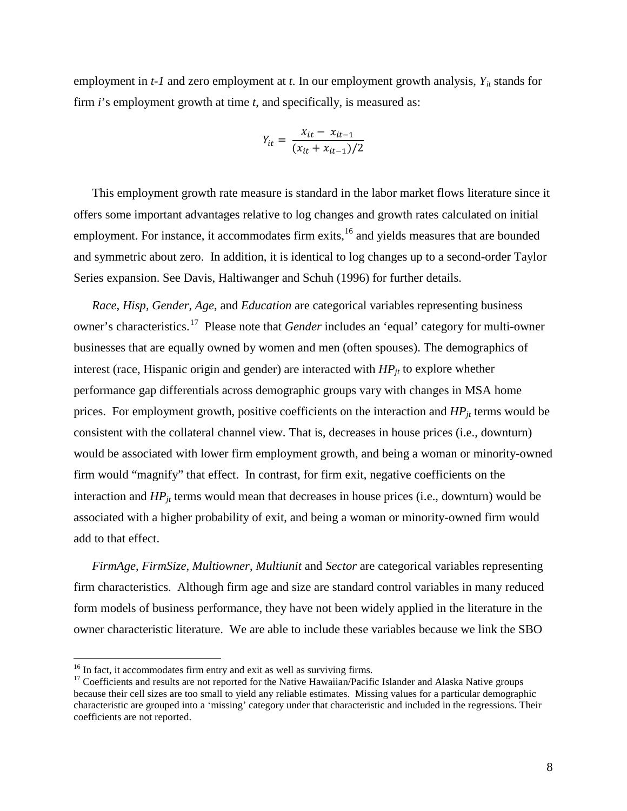employment in *t-1* and zero employment at *t*. In our employment growth analysis,  $Y_{it}$  stands for firm *i*'s employment growth at time *t*, and specifically, is measured as:

$$
Y_{it} = \frac{x_{it} - x_{it-1}}{(x_{it} + x_{it-1})/2}
$$

This employment growth rate measure is standard in the labor market flows literature since it offers some important advantages relative to log changes and growth rates calculated on initial employment. For instance, it accommodates firm exits,<sup>16</sup> and yields measures that are bounded and symmetric about zero. In addition, it is identical to log changes up to a second-order Taylor Series expansion. See Davis, Haltiwanger and Schuh (1996) for further details.

 owner's characteristics.[17](#page-9-1) Please note that *Gender* includes an 'equal' category for multi-owner businesses that are equally owned by women and men (often spouses). The demographics of *Race, Hisp, Gender, Age*, and *Education* are categorical variables representing business interest (race, Hispanic origin and gender) are interacted with  $HP_{it}$  to explore whether performance gap differentials across demographic groups vary with changes in MSA home prices. For employment growth, positive coefficients on the interaction and  $HP_{it}$  terms would be consistent with the collateral channel view. That is, decreases in house prices (i.e., downturn) would be associated with lower firm employment growth, and being a woman or minority-owned firm would "magnify" that effect. In contrast, for firm exit, negative coefficients on the interaction and  $HP_{it}$  terms would mean that decreases in house prices (i.e., downturn) would be associated with a higher probability of exit, and being a woman or minority-owned firm would add to that effect.

 *FirmAge*, *FirmSize*, *Multiowner*, *Multiunit* and *Sector* are categorical variables representing firm characteristics. Although firm age and size are standard control variables in many reduced form models of business performance, they have not been widely applied in the literature in the owner characteristic literature. We are able to include these variables because we link the SBO

-

<span id="page-9-1"></span>

<span id="page-9-0"></span><sup>&</sup>lt;sup>16</sup> In fact, it accommodates firm entry and exit as well as surviving firms.<br><sup>17</sup> Coefficients and results are not reported for the Native Hawaiian/Pacific Islander and Alaska Native groups because their cell sizes are too small to yield any reliable estimates. Missing values for a particular demographic characteristic are grouped into a 'missing' category under that characteristic and included in the regressions. Their coefficients are not reported.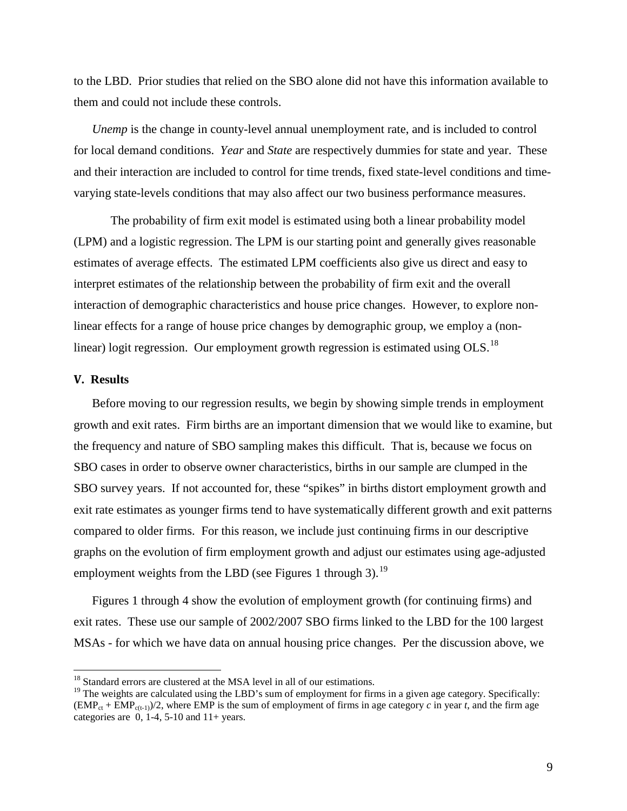to the LBD. Prior studies that relied on the SBO alone did not have this information available to them and could not include these controls.

 for local demand conditions. *Year* and *State* are respectively dummies for state and year. These *Unemp* is the change in county-level annual unemployment rate, and is included to control and their interaction are included to control for time trends, fixed state-level conditions and timevarying state-levels conditions that may also affect our two business performance measures.

 estimates of average effects. The estimated LPM coefficients also give us direct and easy to interaction of demographic characteristics and house price changes. However, to explore non-The probability of firm exit model is estimated using both a linear probability model (LPM) and a logistic regression. The LPM is our starting point and generally gives reasonable interpret estimates of the relationship between the probability of firm exit and the overall linear effects for a range of house price changes by demographic group, we employ a (nonlinear) logit regression. Our employment growth regression is estimated using OLS.<sup>18</sup>

#### **V. Results**

-

 growth and exit rates. Firm births are an important dimension that we would like to examine, but the frequency and nature of SBO sampling makes this difficult. That is, because we focus on SBO survey years. If not accounted for, these "spikes" in births distort employment growth and graphs on the evolution of firm employment growth and adjust our estimates using age-adjusted employment weights from the LBD (see Figures 1 through 3).<sup>19</sup> Before moving to our regression results, we begin by showing simple trends in employment SBO cases in order to observe owner characteristics, births in our sample are clumped in the exit rate estimates as younger firms tend to have systematically different growth and exit patterns compared to older firms. For this reason, we include just continuing firms in our descriptive

 Figures 1 through 4 show the evolution of employment growth (for continuing firms) and exit rates. These use our sample of 2002/2007 SBO firms linked to the LBD for the 100 largest MSAs - for which we have data on annual housing price changes. Per the discussion above, we

<span id="page-10-0"></span> $18$  Standard errors are clustered at the MSA level in all of our estimations.

<span id="page-10-1"></span> $19$  The weights are calculated using the LBD's sum of employment for firms in a given age category. Specifically:  $(\text{EMP}_{ct} + \text{EMP}_{c(t-1)})/2$ , where EMP is the sum of employment of firms in age category *c* in year *t*, and the firm age categories are  $0, 1-4, 5-10$  and  $11+$  years.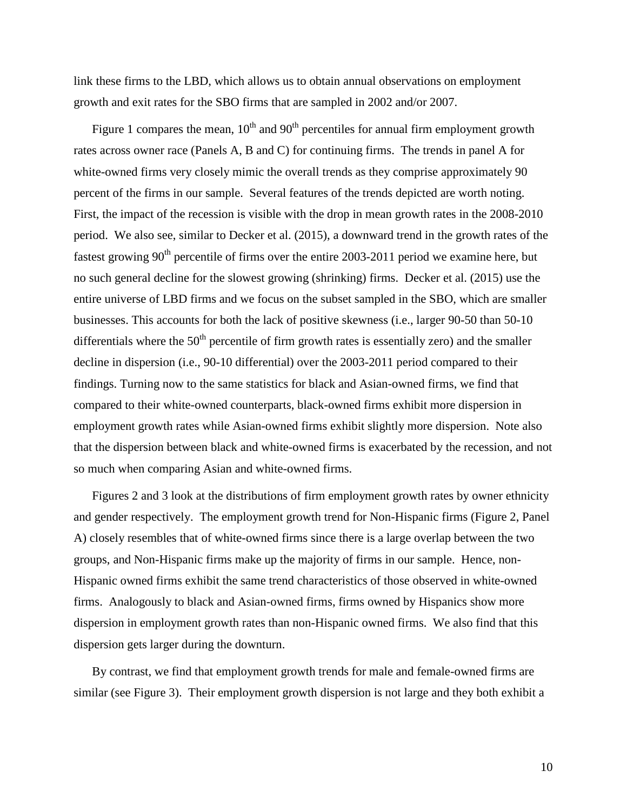growth and exit rates for the SBO firms that are sampled in 2002 and/or 2007. link these firms to the LBD, which allows us to obtain annual observations on employment

Figure 1 compares the mean,  $10^{th}$  and  $90^{th}$  percentiles for annual firm employment growth rates across owner race (Panels A, B and C) for continuing firms. The trends in panel A for First, the impact of the recession is visible with the drop in mean growth rates in the 2008-2010 no such general decline for the slowest growing (shrinking) firms. Decker et al. (2015) use the entire universe of LBD firms and we focus on the subset sampled in the SBO, which are smaller employment growth rates while Asian-owned firms exhibit slightly more dispersion. Note also so much when comparing Asian and white-owned firms. white-owned firms very closely mimic the overall trends as they comprise approximately 90 percent of the firms in our sample. Several features of the trends depicted are worth noting. period. We also see, similar to Decker et al. (2015), a downward trend in the growth rates of the fastest growing  $90<sup>th</sup>$  percentile of firms over the entire 2003-2011 period we examine here, but businesses. This accounts for both the lack of positive skewness (i.e., larger 90-50 than 50-10 differentials where the  $50<sup>th</sup>$  percentile of firm growth rates is essentially zero) and the smaller decline in dispersion (i.e., 90-10 differential) over the 2003-2011 period compared to their findings. Turning now to the same statistics for black and Asian-owned firms, we find that compared to their white-owned counterparts, black-owned firms exhibit more dispersion in that the dispersion between black and white-owned firms is exacerbated by the recession, and not

 and gender respectively. The employment growth trend for Non-Hispanic firms (Figure 2, Panel groups, and Non-Hispanic firms make up the majority of firms in our sample. Hence, non- dispersion in employment growth rates than non-Hispanic owned firms. We also find that this Figures 2 and 3 look at the distributions of firm employment growth rates by owner ethnicity A) closely resembles that of white-owned firms since there is a large overlap between the two Hispanic owned firms exhibit the same trend characteristics of those observed in white-owned firms. Analogously to black and Asian-owned firms, firms owned by Hispanics show more dispersion gets larger during the downturn.

 By contrast, we find that employment growth trends for male and female-owned firms are similar (see Figure 3). Their employment growth dispersion is not large and they both exhibit a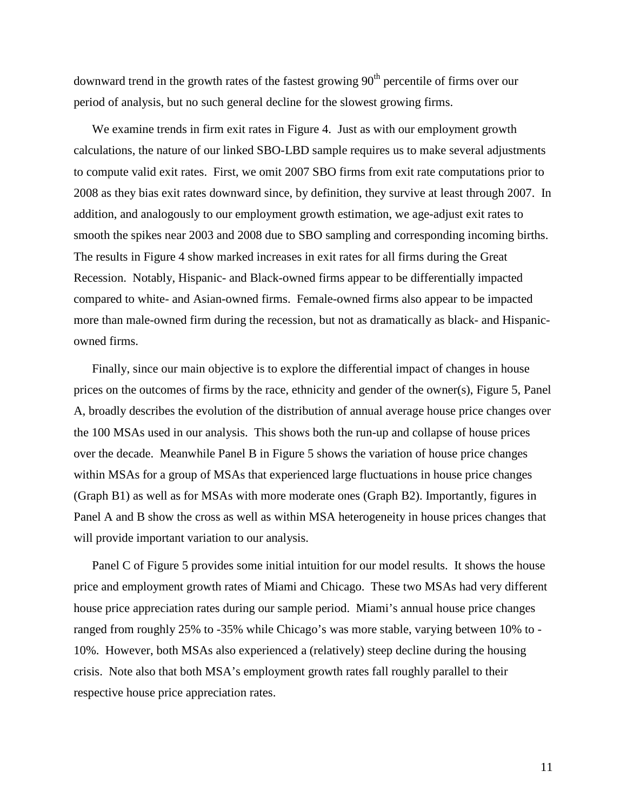downward trend in the growth rates of the fastest growing 90<sup>th</sup> percentile of firms over our period of analysis, but no such general decline for the slowest growing firms.

 2008 as they bias exit rates downward since, by definition, they survive at least through 2007. In addition, and analogously to our employment growth estimation, we age-adjust exit rates to Recession. Notably, Hispanic- and Black-owned firms appear to be differentially impacted more than male-owned firm during the recession, but not as dramatically as black- and Hispanicowned firms. We examine trends in firm exit rates in Figure 4. Just as with our employment growth calculations, the nature of our linked SBO-LBD sample requires us to make several adjustments to compute valid exit rates. First, we omit 2007 SBO firms from exit rate computations prior to smooth the spikes near 2003 and 2008 due to SBO sampling and corresponding incoming births. The results in Figure 4 show marked increases in exit rates for all firms during the Great compared to white- and Asian-owned firms. Female-owned firms also appear to be impacted

 A, broadly describes the evolution of the distribution of annual average house price changes over over the decade. Meanwhile Panel B in Figure 5 shows the variation of house price changes within MSAs for a group of MSAs that experienced large fluctuations in house price changes Panel A and B show the cross as well as within MSA heterogeneity in house prices changes that Finally, since our main objective is to explore the differential impact of changes in house prices on the outcomes of firms by the race, ethnicity and gender of the owner(s), Figure 5, Panel the 100 MSAs used in our analysis. This shows both the run-up and collapse of house prices (Graph B1) as well as for MSAs with more moderate ones (Graph B2). Importantly, figures in will provide important variation to our analysis.

Panel C of Figure 5 provides some initial intuition for our model results. It shows the house house price appreciation rates during our sample period. Miami's annual house price changes price and employment growth rates of Miami and Chicago. These two MSAs had very different ranged from roughly 25% to -35% while Chicago's was more stable, varying between 10% to 10%. However, both MSAs also experienced a (relatively) steep decline during the housing crisis. Note also that both MSA's employment growth rates fall roughly parallel to their respective house price appreciation rates.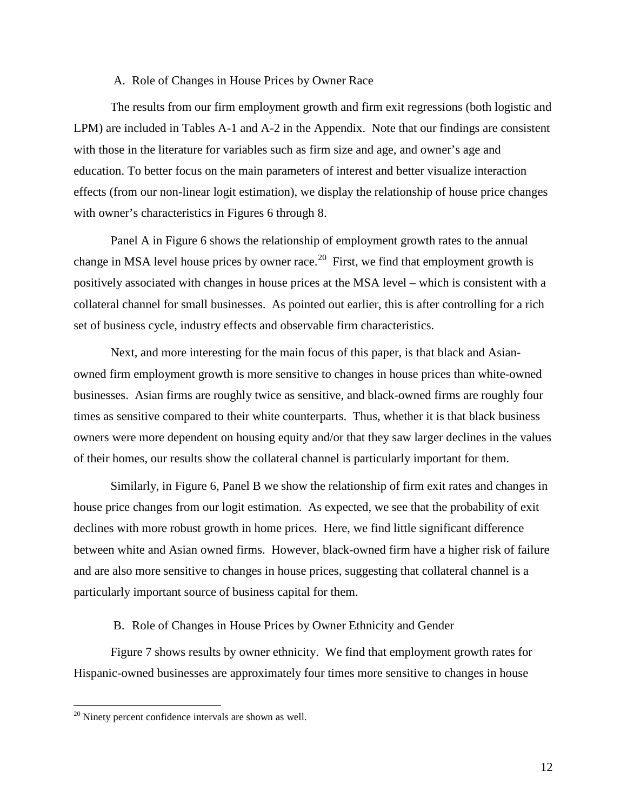#### A. Role of Changes in House Prices by Owner Race

 with those in the literature for variables such as firm size and age, and owner's age and education. To better focus on the main parameters of interest and better visualize interaction effects (from our non-linear logit estimation), we display the relationship of house price changes The results from our firm employment growth and firm exit regressions (both logistic and LPM) are included in Tables A-1 and A-2 in the Appendix. Note that our findings are consistent with owner's characteristics in Figures 6 through 8.

 Panel A in Figure 6 shows the relationship of employment growth rates to the annual change in MSA level house prices by owner race.<sup>20</sup> First, we find that employment growth is positively associated with changes in house prices at the MSA level – which is consistent with a collateral channel for small businesses. As pointed out earlier, this is after controlling for a rich set of business cycle, industry effects and observable firm characteristics.

 times as sensitive compared to their white counterparts. Thus, whether it is that black business Next, and more interesting for the main focus of this paper, is that black and Asianowned firm employment growth is more sensitive to changes in house prices than white-owned businesses. Asian firms are roughly twice as sensitive, and black-owned firms are roughly four owners were more dependent on housing equity and/or that they saw larger declines in the values of their homes, our results show the collateral channel is particularly important for them.

 house price changes from our logit estimation. As expected, we see that the probability of exit between white and Asian owned firms. However, black-owned firm have a higher risk of failure Similarly, in Figure 6, Panel B we show the relationship of firm exit rates and changes in declines with more robust growth in home prices. Here, we find little significant difference and are also more sensitive to changes in house prices, suggesting that collateral channel is a particularly important source of business capital for them.

B. Role of Changes in House Prices by Owner Ethnicity and Gender

 Figure 7 shows results by owner ethnicity. We find that employment growth rates for Hispanic-owned businesses are approximately four times more sensitive to changes in house

<u>.</u>

<span id="page-13-0"></span> $20$  Ninety percent confidence intervals are shown as well.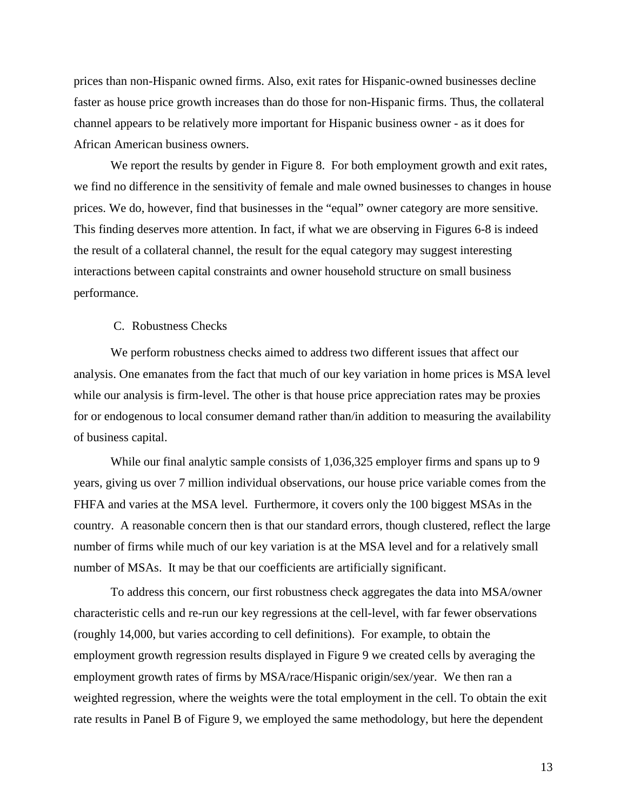channel appears to be relatively more important for Hispanic business owner - as it does for prices than non-Hispanic owned firms. Also, exit rates for Hispanic-owned businesses decline faster as house price growth increases than do those for non-Hispanic firms. Thus, the collateral African American business owners.

 We report the results by gender in Figure 8. For both employment growth and exit rates, This finding deserves more attention. In fact, if what we are observing in Figures 6-8 is indeed the result of a collateral channel, the result for the equal category may suggest interesting we find no difference in the sensitivity of female and male owned businesses to changes in house prices. We do, however, find that businesses in the "equal" owner category are more sensitive. interactions between capital constraints and owner household structure on small business performance.

#### C. Robustness Checks

of business capital. We perform robustness checks aimed to address two different issues that affect our analysis. One emanates from the fact that much of our key variation in home prices is MSA level while our analysis is firm-level. The other is that house price appreciation rates may be proxies for or endogenous to local consumer demand rather than/in addition to measuring the availability

While our final analytic sample consists of  $1,036,325$  employer firms and spans up to 9 years, giving us over 7 million individual observations, our house price variable comes from the FHFA and varies at the MSA level. Furthermore, it covers only the 100 biggest MSAs in the country. A reasonable concern then is that our standard errors, though clustered, reflect the large number of firms while much of our key variation is at the MSA level and for a relatively small number of MSAs. It may be that our coefficients are artificially significant.

 To address this concern, our first robustness check aggregates the data into MSA/owner (roughly 14,000, but varies according to cell definitions). For example, to obtain the characteristic cells and re-run our key regressions at the cell-level, with far fewer observations employment growth regression results displayed in Figure 9 we created cells by averaging the employment growth rates of firms by MSA/race/Hispanic origin/sex/year. We then ran a weighted regression, where the weights were the total employment in the cell. To obtain the exit rate results in Panel B of Figure 9, we employed the same methodology, but here the dependent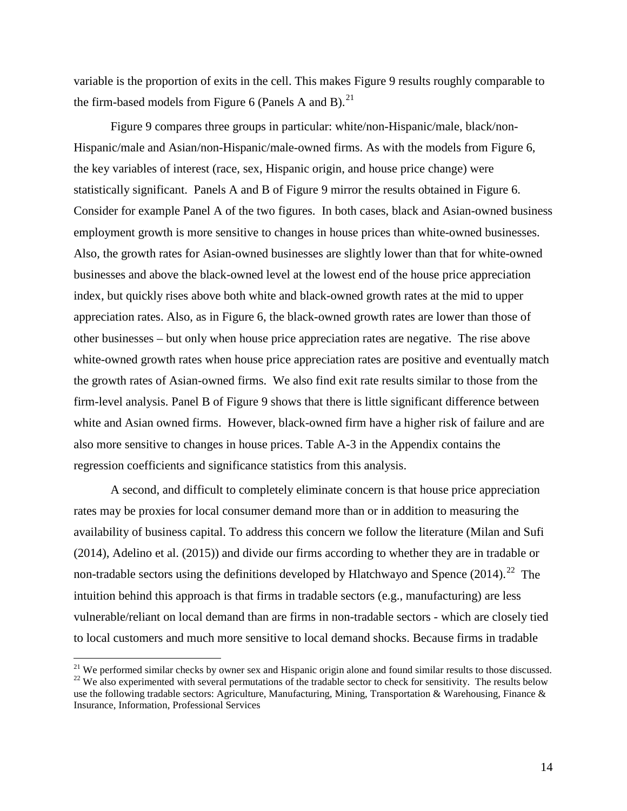the firm-based models from Figure 6 (Panels A and B).<sup>21</sup> variable is the proportion of exits in the cell. This makes Figure 9 results roughly comparable to

 statistically significant. Panels A and B of Figure 9 mirror the results obtained in Figure 6. other businesses – but only when house price appreciation rates are negative. The rise above Figure 9 compares three groups in particular: white/non-Hispanic/male, black/non-Hispanic/male and Asian/non-Hispanic/male-owned firms. As with the models from Figure 6, the key variables of interest (race, sex, Hispanic origin, and house price change) were Consider for example Panel A of the two figures. In both cases, black and Asian-owned business employment growth is more sensitive to changes in house prices than white-owned businesses. Also, the growth rates for Asian-owned businesses are slightly lower than that for white-owned businesses and above the black-owned level at the lowest end of the house price appreciation index, but quickly rises above both white and black-owned growth rates at the mid to upper appreciation rates. Also, as in Figure 6, the black-owned growth rates are lower than those of white-owned growth rates when house price appreciation rates are positive and eventually match the growth rates of Asian-owned firms. We also find exit rate results similar to those from the firm-level analysis. Panel B of Figure 9 shows that there is little significant difference between white and Asian owned firms. However, black-owned firm have a higher risk of failure and are also more sensitive to changes in house prices. Table A-3 in the Appendix contains the regression coefficients and significance statistics from this analysis.

non-tradable sectors using the definitions developed by Hlatchwayo and Spence  $(2014).^{22}$  $(2014).^{22}$  $(2014).^{22}$  The vulnerable/reliant on local demand than are firms in non-tradable sectors - which are closely tied A second, and difficult to completely eliminate concern is that house price appreciation rates may be proxies for local consumer demand more than or in addition to measuring the availability of business capital. To address this concern we follow the literature (Milan and Sufi (2014), Adelino et al. (2015)) and divide our firms according to whether they are in tradable or intuition behind this approach is that firms in tradable sectors (e.g., manufacturing) are less to local customers and much more sensitive to local demand shocks. Because firms in tradable

 $\overline{a}$ 

<span id="page-15-1"></span><span id="page-15-0"></span>use the following tradable sectors: Agriculture, Manufacturing, Mining, Transportation & Warehousing, Finance & <sup>21</sup> We performed similar checks by owner sex and Hispanic origin alone and found similar results to those discussed.<br><sup>22</sup> We also experimented with several permutations of the tradable sector to check for sensitivity. Th Insurance, Information, Professional Services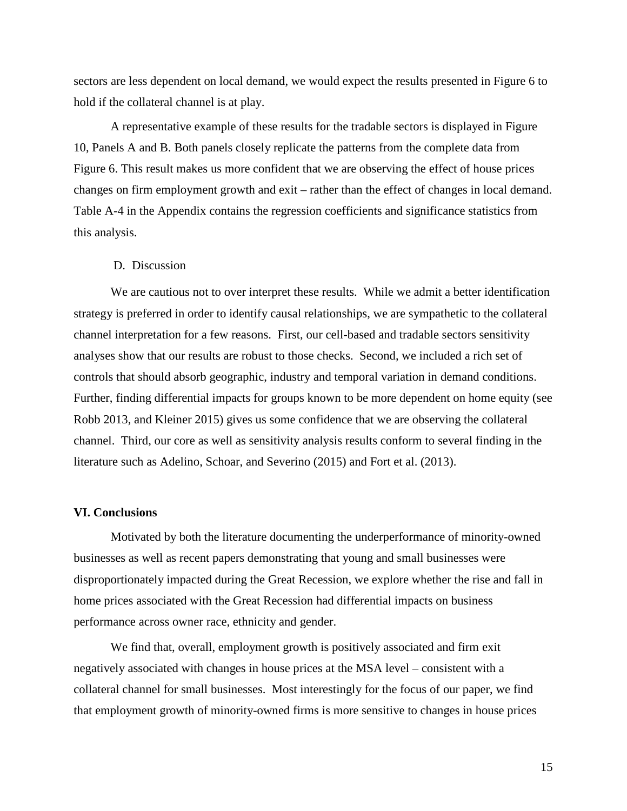sectors are less dependent on local demand, we would expect the results presented in Figure 6 to hold if the collateral channel is at play.

 10, Panels A and B. Both panels closely replicate the patterns from the complete data from Figure 6. This result makes us more confident that we are observing the effect of house prices changes on firm employment growth and exit – rather than the effect of changes in local demand. A representative example of these results for the tradable sectors is displayed in Figure Table A-4 in the Appendix contains the regression coefficients and significance statistics from this analysis.

#### D. Discussion

 analyses show that our results are robust to those checks. Second, we included a rich set of Robb 2013, and Kleiner 2015) gives us some confidence that we are observing the collateral We are cautious not to over interpret these results. While we admit a better identification strategy is preferred in order to identify causal relationships, we are sympathetic to the collateral channel interpretation for a few reasons. First, our cell-based and tradable sectors sensitivity controls that should absorb geographic, industry and temporal variation in demand conditions. Further, finding differential impacts for groups known to be more dependent on home equity (see channel. Third, our core as well as sensitivity analysis results conform to several finding in the literature such as Adelino, Schoar, and Severino (2015) and Fort et al. (2013).

#### **VI. Conclusions**

Motivated by both the literature documenting the underperformance of minority-owned businesses as well as recent papers demonstrating that young and small businesses were disproportionately impacted during the Great Recession, we explore whether the rise and fall in home prices associated with the Great Recession had differential impacts on business performance across owner race, ethnicity and gender.

We find that, overall, employment growth is positively associated and firm exit negatively associated with changes in house prices at the MSA level – consistent with a collateral channel for small businesses. Most interestingly for the focus of our paper, we find that employment growth of minority-owned firms is more sensitive to changes in house prices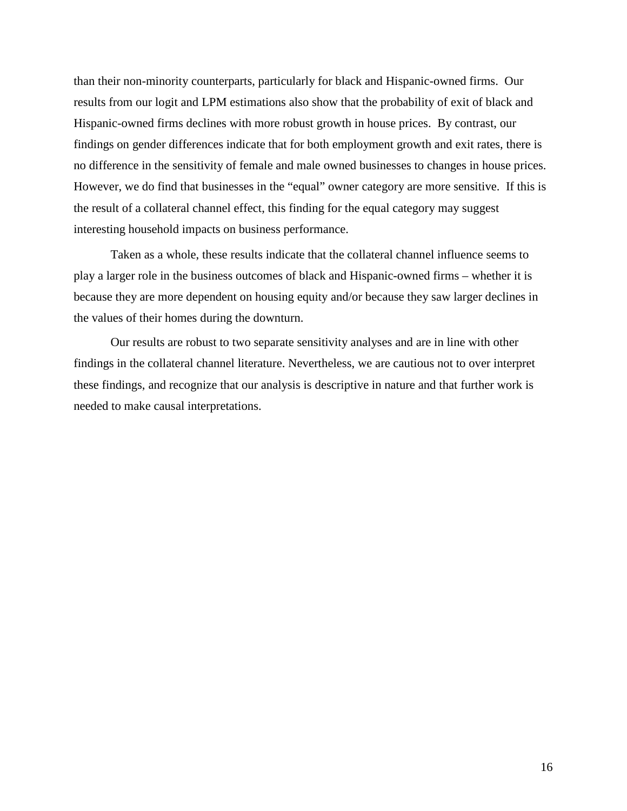However, we do find that businesses in the "equal" owner category are more sensitive. If this is the result of a collateral channel effect, this finding for the equal category may suggest than their non-minority counterparts, particularly for black and Hispanic-owned firms. Our results from our logit and LPM estimations also show that the probability of exit of black and Hispanic-owned firms declines with more robust growth in house prices. By contrast, our findings on gender differences indicate that for both employment growth and exit rates, there is no difference in the sensitivity of female and male owned businesses to changes in house prices. interesting household impacts on business performance.

 play a larger role in the business outcomes of black and Hispanic-owned firms – whether it is because they are more dependent on housing equity and/or because they saw larger declines in Taken as a whole, these results indicate that the collateral channel influence seems to the values of their homes during the downturn.

needed to make causal interpretations. Our results are robust to two separate sensitivity analyses and are in line with other findings in the collateral channel literature. Nevertheless, we are cautious not to over interpret these findings, and recognize that our analysis is descriptive in nature and that further work is needed to make causal interpretations.<br>
16<br>
16<br>
16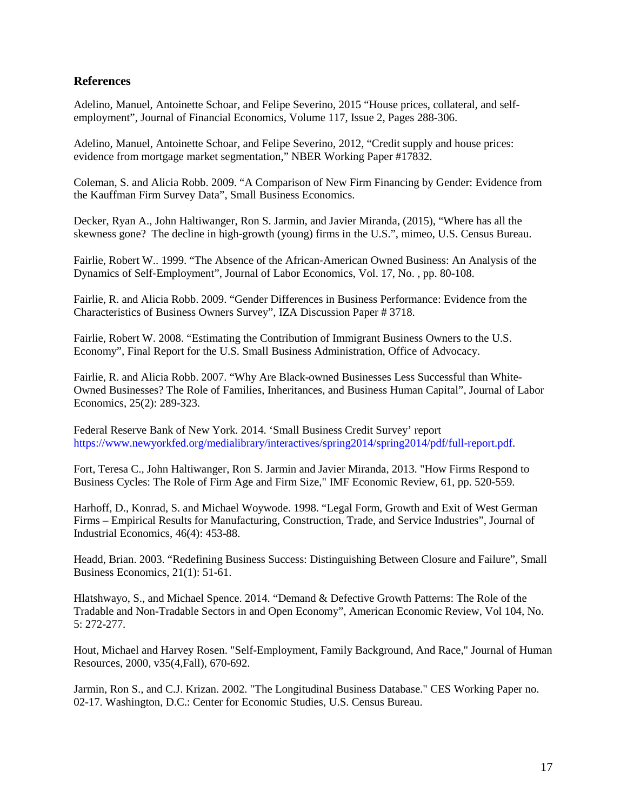### **References**

 Adelino, Manuel, Antoinette Schoar, and Felipe Severino, 2015 "House prices, collateral, and self-employment", Journal of Financial Economics, Volume 117, Issue 2, Pages 288-306.

 Adelino, Manuel, Antoinette Schoar, and Felipe Severino, 2012, "Credit supply and house prices: evidence from mortgage market segmentation," NBER Working Paper #17832.

 Coleman, S. and Alicia Robb. 2009. "A Comparison of New Firm Financing by Gender: Evidence from the Kauffman Firm Survey Data", Small Business Economics.

 Decker, Ryan A., John Haltiwanger, Ron S. Jarmin, and Javier Miranda, (2015), "Where has all the skewness gone? The decline in high-growth (young) firms in the U.S.", mimeo, U.S. Census Bureau.

Fairlie, Robert W.. 1999. "The Absence of the African‐American Owned Business: An Analysis of the Dynamics of Self‐Employment", Journal of Labor Economics, Vol. 17, No. , pp. 80-108.

Fairlie, R. and Alicia Robb. 2009. "Gender Differences in Business Performance: Evidence from the Characteristics of Business Owners Survey", IZA Discussion Paper # 3718.

Fairlie, Robert W. 2008. "Estimating the Contribution of Immigrant Business Owners to the U.S. Economy", Final Report for the U.S. Small Business Administration, Office of Advocacy.

Fairlie, R. and Alicia Robb. 2007. "Why Are Black-owned Businesses Less Successful than White-Owned Businesses? The Role of Families, Inheritances, and Business Human Capital", Journal of Labor Economics, 25(2): 289-323.

Federal Reserve Bank of New York. 2014. 'Small Business Credit Survey' report [https://www.newyorkfed.org/medialibrary/interactives/spring2014/spring2014/pdf/full-report.pdf.](https://www.newyorkfed.org/medialibrary/interactives/spring2014/spring2014/pdf/full-report.pdf)

Fort, Teresa C., John Haltiwanger, Ron S. Jarmin and Javier Miranda, 2013. ["How Firms Respond to](http://ideas.repec.org/p/nbr/nberwo/19134.html)  [Business Cycles: The Role of Firm Age and Firm Size,](http://ideas.repec.org/p/nbr/nberwo/19134.html)" IMF Economic Review, 61, pp. 520-559.

Harhoff, D., Konrad, S. and Michael Woywode. 1998. "Legal Form, Growth and Exit of West German Firms – Empirical Results for Manufacturing, Construction, Trade, and Service Industries", Journal of Industrial Economics, 46(4): 453-88.

Headd, Brian. 2003. "Redefining Business Success: Distinguishing Between Closure and Failure", Small Business Economics, 21(1): 51-61.

 Hlatshwayo, S., and Michael Spence. 2014. "Demand & Defective Growth Patterns: The Role of the Tradable and Non-Tradable Sectors in and Open Economy", American Economic Review, Vol 104, No. 5: 272-277.

Hout, Michael and Harvey Rosen. ["Self-Employment, Family Background, And Race,"](http://ideas.repec.org/a/uwp/jhriss/v35y2000i4p670-692.html) Journal of Human Resources, 2000, v35(4,Fall), 670-692.

Jarmin, Ron S., and C.J. Krizan. 2002. "The Longitudinal Business Database." CES Working Paper no. 02-17. Washington, D.C.: Center for Economic Studies, U.S. Census Bureau.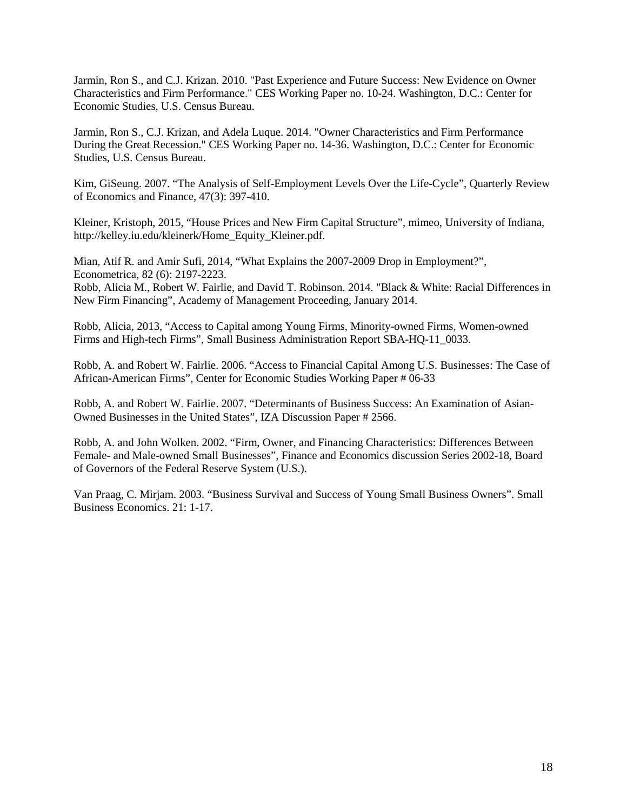Jarmin, Ron S., and C.J. Krizan. 2010. "Past Experience and Future Success: New Evidence on Owner Characteristics and Firm Performance." CES Working Paper no. 10-24. Washington, D.C.: Center for Economic Studies, U.S. Census Bureau.

Jarmin, Ron S., C.J. Krizan, and Adela Luque. 2014. "Owner Characteristics and Firm Performance During the Great Recession." CES Working Paper no. 14-36. Washington, D.C.: Center for Economic Studies, U.S. Census Bureau.

Kim, GiSeung. 2007. "The Analysis of Self-Employment Levels Over the Life-Cycle", Quarterly Review of Economics and Finance, 47(3): 397-410.

Kleiner, Kristoph, 2015, "House Prices and New Firm Capital Structure", mimeo, University of Indiana, http://kelley.iu.edu/kleinerk/Home\_Equity\_Kleiner.pdf.

Mian, Atif R. and Amir Sufi, 2014, "What Explains the 2007-2009 Drop in Employment?", Econometrica, 82 (6): 2197-2223. Robb, Alicia M., Robert W. Fairlie, and David T. Robinson. 2014. "Black & White: Racial Differences in New Firm Financing", Academy of Management Proceeding, January 2014.

Robb, Alicia, 2013, "Access to Capital among Young Firms, Minority-owned Firms, Women-owned Firms and High-tech Firms", Small Business Administration Report SBA-HQ-11\_0033.

 Robb, A. and Robert W. Fairlie. 2006. "Access to Financial Capital Among U.S. Businesses: The Case of African-American Firms", Center for Economic Studies Working Paper # 06-33

Robb, A. and Robert W. Fairlie. 2007. "Determinants of Business Success: An Examination of Asian-Owned Businesses in the United States", IZA Discussion Paper # 2566.

Robb, A. and John Wolken. 2002. "Firm, Owner, and Financing Characteristics: Differences Between Female- and Male-owned Small Businesses", Finance and Economics discussion Series 2002-18, Board of Governors of the Federal Reserve System (U.S.).

 Business Economics. 21: 1-17. Van Praag, C. Mirjam. 2003. "Business Survival and Success of Young Small Business Owners". Small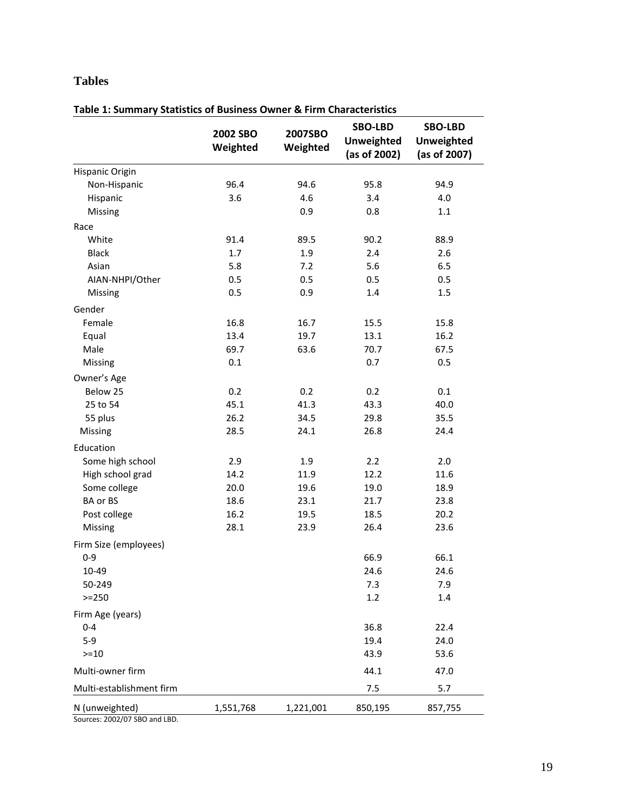# **Tables**

|                                                 | 2002 SBO<br>Weighted | 2007SBO<br>Weighted | <b>SBO-LBD</b><br><b>Unweighted</b><br>(as of 2002) | <b>SBO-LBD</b><br><b>Unweighted</b><br>(as of 2007) |
|-------------------------------------------------|----------------------|---------------------|-----------------------------------------------------|-----------------------------------------------------|
| Hispanic Origin                                 |                      |                     |                                                     |                                                     |
| Non-Hispanic                                    | 96.4                 | 94.6                | 95.8                                                | 94.9                                                |
| Hispanic                                        | 3.6                  | 4.6                 | 3.4                                                 | 4.0                                                 |
| Missing                                         |                      | 0.9                 | 0.8                                                 | 1.1                                                 |
| Race                                            |                      |                     |                                                     |                                                     |
| White                                           | 91.4                 | 89.5                | 90.2                                                | 88.9                                                |
| <b>Black</b>                                    | 1.7                  | 1.9                 | 2.4                                                 | 2.6                                                 |
| Asian                                           | 5.8                  | 7.2                 | 5.6                                                 | 6.5                                                 |
| AIAN-NHPI/Other                                 | 0.5                  | 0.5                 | 0.5                                                 | 0.5                                                 |
| Missing                                         | 0.5                  | 0.9                 | 1.4                                                 | 1.5                                                 |
| Gender                                          |                      |                     |                                                     |                                                     |
| Female                                          | 16.8                 | 16.7                | 15.5                                                | 15.8                                                |
| Equal                                           | 13.4                 | 19.7                | 13.1                                                | 16.2                                                |
| Male                                            | 69.7                 | 63.6                | 70.7                                                | 67.5                                                |
| Missing                                         | 0.1                  |                     | 0.7                                                 | 0.5                                                 |
| Owner's Age                                     |                      |                     |                                                     |                                                     |
| Below 25                                        | 0.2                  | 0.2                 | 0.2                                                 | 0.1                                                 |
| 25 to 54                                        | 45.1                 | 41.3                | 43.3                                                | 40.0                                                |
| 55 plus                                         | 26.2                 | 34.5                | 29.8                                                | 35.5                                                |
| Missing                                         | 28.5                 | 24.1                | 26.8                                                | 24.4                                                |
| Education                                       |                      |                     |                                                     |                                                     |
| Some high school                                | 2.9                  | 1.9                 | 2.2                                                 | 2.0                                                 |
| High school grad                                | 14.2                 | 11.9                | 12.2                                                | 11.6                                                |
| Some college                                    | 20.0                 | 19.6                | 19.0                                                | 18.9                                                |
| BA or BS                                        | 18.6                 | 23.1                | 21.7                                                | 23.8                                                |
| Post college                                    | 16.2                 | 19.5                | 18.5                                                | 20.2                                                |
| Missing                                         | 28.1                 | 23.9                | 26.4                                                | 23.6                                                |
| Firm Size (employees)                           |                      |                     |                                                     |                                                     |
| $0 - 9$                                         |                      |                     | 66.9                                                | 66.1                                                |
| 10-49                                           |                      |                     | 24.6                                                | 24.6                                                |
| 50-249                                          |                      |                     | 7.3                                                 | 7.9                                                 |
| $>=250$                                         |                      |                     | 1.2                                                 | 1.4                                                 |
| Firm Age (years)                                |                      |                     |                                                     |                                                     |
| $0 - 4$                                         |                      |                     | 36.8                                                | 22.4                                                |
| $5-9$                                           |                      |                     | 19.4                                                | 24.0                                                |
| $>=10$                                          |                      |                     | 43.9                                                | 53.6                                                |
| Multi-owner firm                                |                      |                     | 44.1                                                | 47.0                                                |
| Multi-establishment firm                        |                      |                     | 7.5                                                 | 5.7                                                 |
| N (unweighted)<br>Sources: 2002/07 SBO and LBD. | 1,551,768            | 1,221,001           | 850,195                                             | 857,755                                             |

**Table 1: Summary Statistics of Business Owner & Firm Characteristics**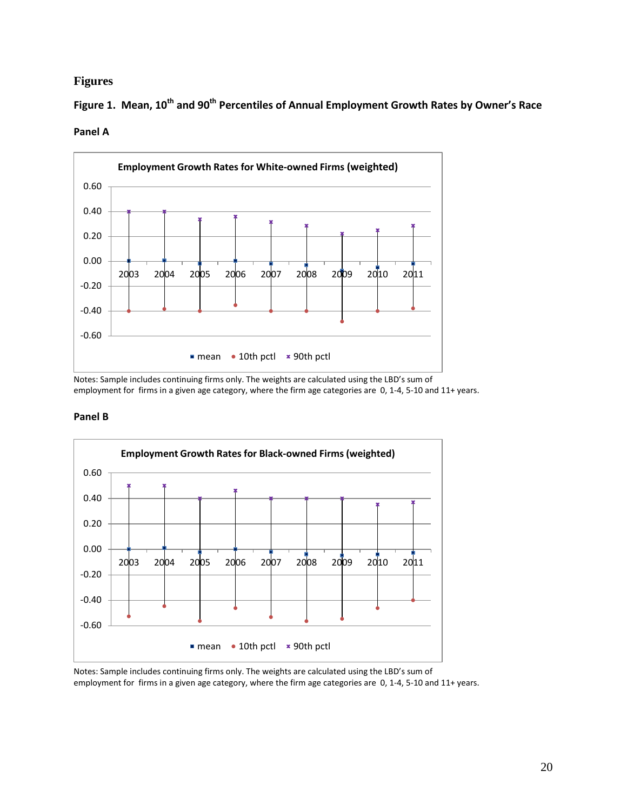### **Figures**

Figure 1. Mean, 10<sup>th</sup> and 90<sup>th</sup> Percentiles of Annual Employment Growth Rates by Owner's Race **Panel A** 



Notes: Sample includes continuing firms only. The weights are calculated using the LBD's sum of employment for firms in a given age category, where the firm age categories are 0, 1-4, 5-10 and 11+ years.

#### **Panel B**



Notes: Sample includes continuing firms only. The weights are calculated using the LBD's sum of employment for firms in a given age category, where the firm age categories are 0, 1-4, 5-10 and 11+ years.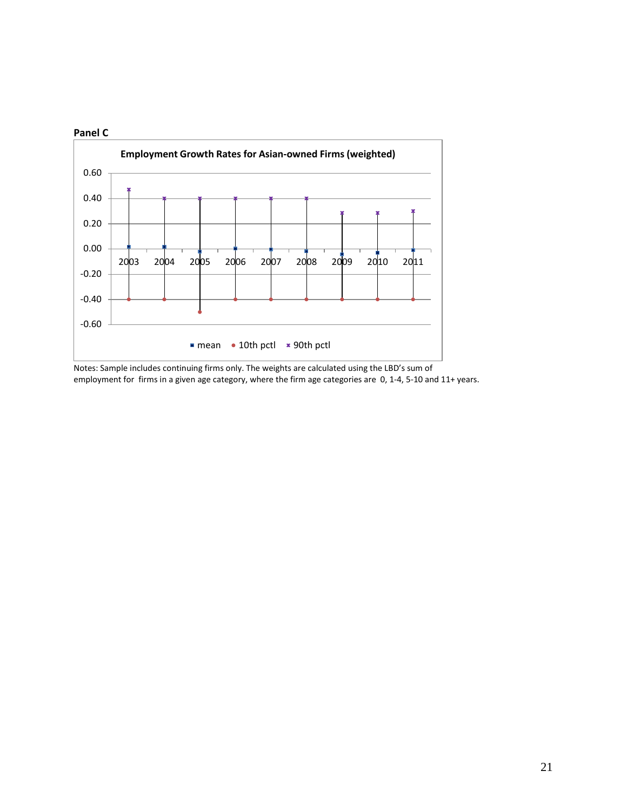

Notes: Sample includes continuing firms only. The weights are calculated using the LBD's sum of employment for firms in a given age category, where the firm age categories are 0, 1-4, 5-10 and 11+ years.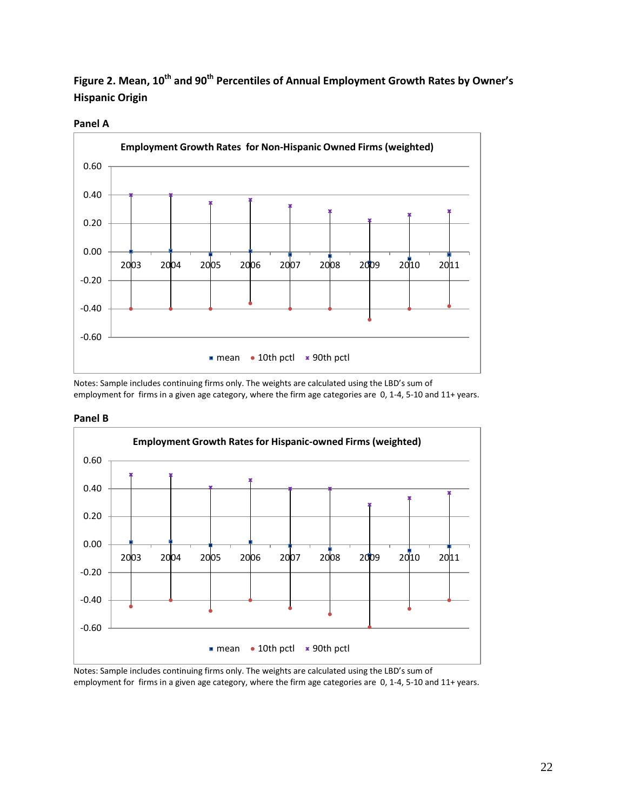Figure 2. Mean, 10<sup>th</sup> and 90<sup>th</sup> Percentiles of Annual Employment Growth Rates by Owner's **Hispanic Origin** 

#### **Panel A**



Notes: Sample includes continuing firms only. The weights are calculated using the LBD's sum of employment for firms in a given age category, where the firm age categories are 0, 1-4, 5-10 and 11+ years.

#### **Panel B**



Notes: Sample includes continuing firms only. The weights are calculated using the LBD's sum of employment for firms in a given age category, where the firm age categories are 0, 1-4, 5-10 and 11+ years.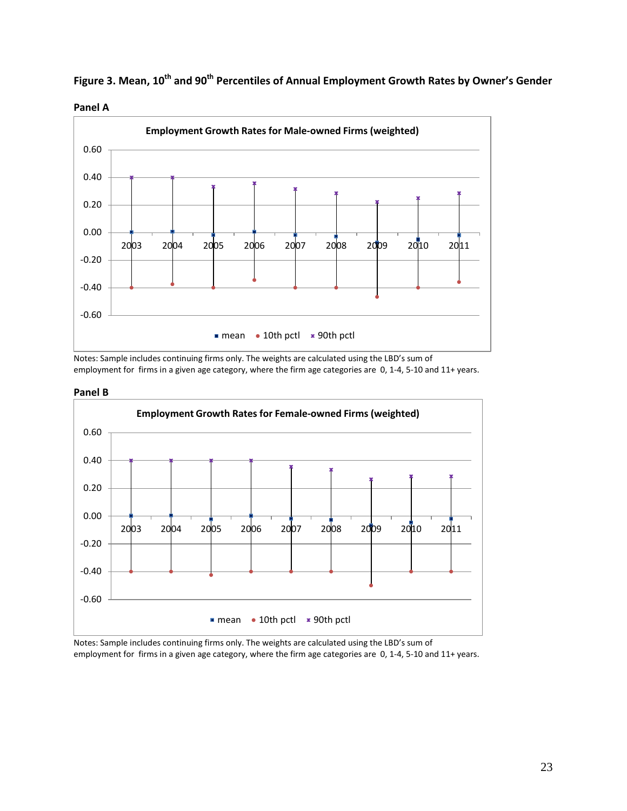

Figure 3. Mean, 10<sup>th</sup> and 90<sup>th</sup> Percentiles of Annual Employment Growth Rates by Owner's Gender



Notes: Sample includes continuing firms only. The weights are calculated using the LBD's sum of employment for firms in a given age category, where the firm age categories are 0, 1-4, 5-10 and 11+ years.





Notes: Sample includes continuing firms only. The weights are calculated using the LBD's sum of employment for firms in a given age category, where the firm age categories are 0, 1-4, 5-10 and 11+ years.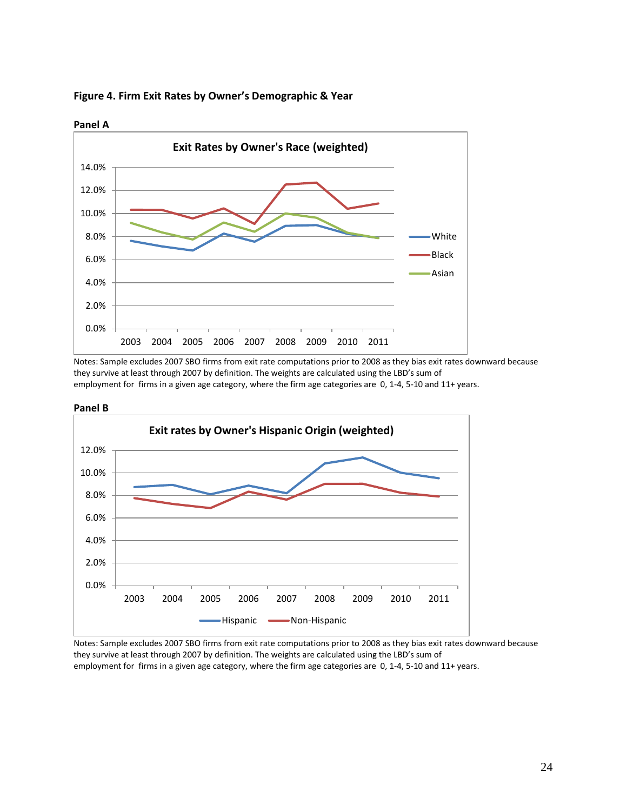

**Figure 4. Firm Exit Rates by Owner's Demographic & Year** 

Notes: Sample excludes 2007 SBO firms from exit rate computations prior to 2008 as they bias exit rates downward because they survive at least through 2007 by definition. The weights are calculated using the LBD's sum of employment for firms in a given age category, where the firm age categories are 0, 1-4, 5-10 and 11+ years.





Notes: Sample excludes 2007 SBO firms from exit rate computations prior to 2008 as they bias exit rates downward because they survive at least through 2007 by definition. The weights are calculated using the LBD's sum of employment for firms in a given age category, where the firm age categories are 0, 1-4, 5-10 and 11+ years.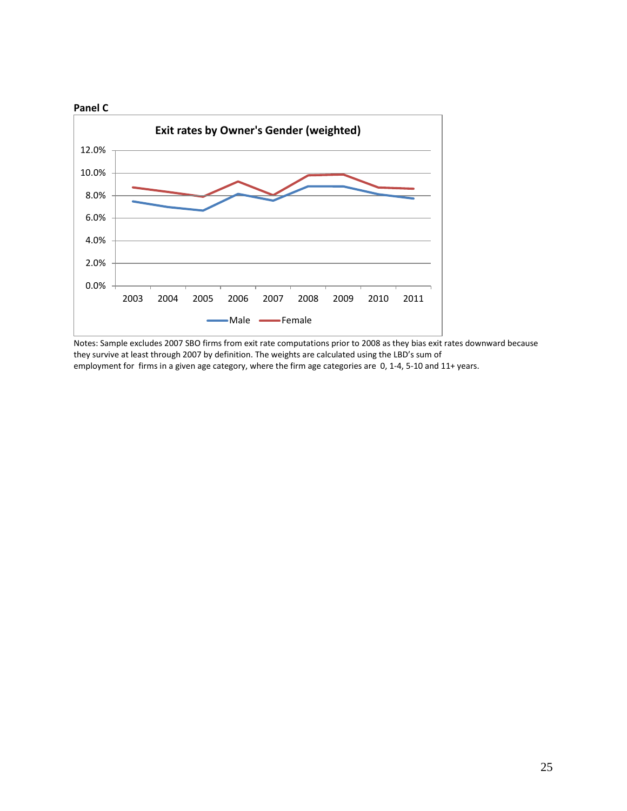

Notes: Sample excludes 2007 SBO firms from exit rate computations prior to 2008 as they bias exit rates downward because they survive at least through 2007 by definition. The weights are calculated using the LBD's sum of employment for firms in a given age category, where the firm age categories are 0, 1-4, 5-10 and 11+ years.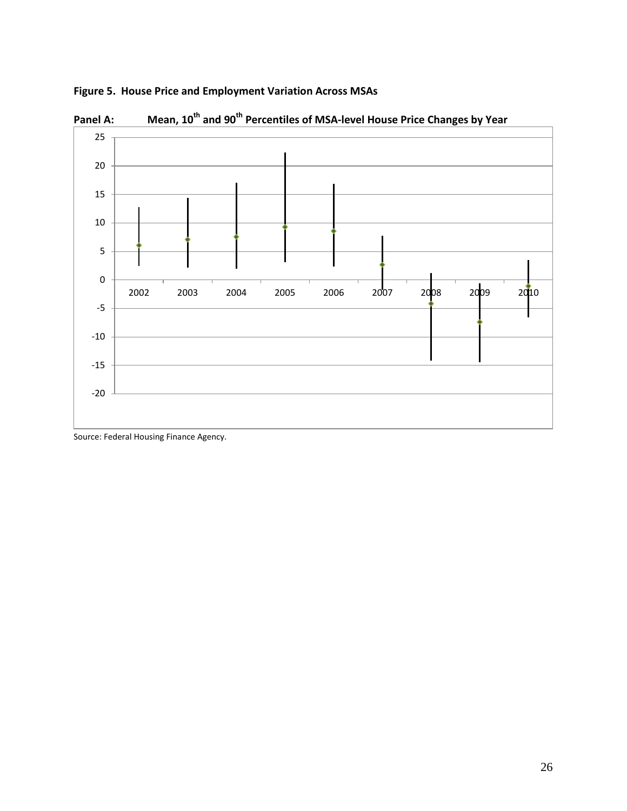

 **Figure 5. House Price and Employment Variation Across MSAs** 

Panel A: Mean, 10<sup>th</sup> and 90<sup>th</sup> Percentiles of MSA-level House Price Changes by Year

Source: Federal Housing Finance Agency.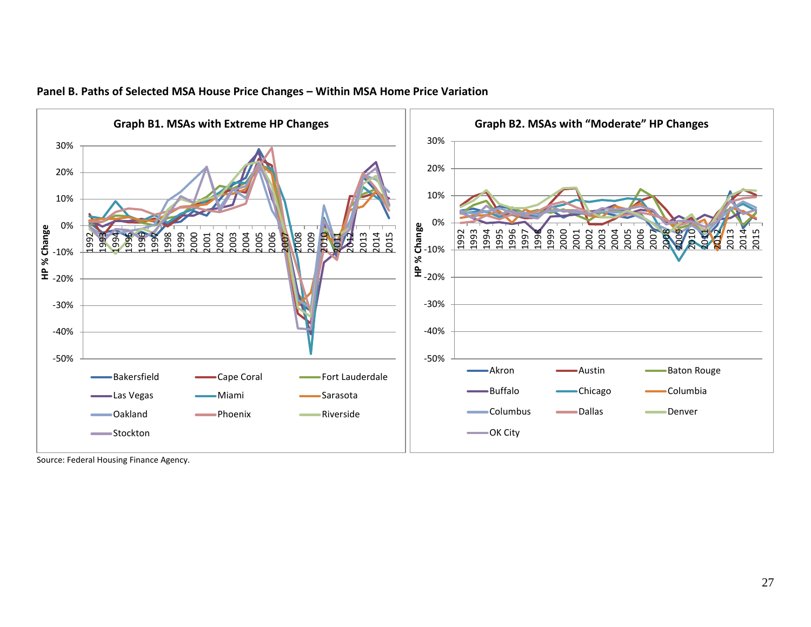

#### **Panel B. Paths of Selected MSA House Price Changes – Within MSA Home Price Variation**

Source: Federal Housing Finance Agency.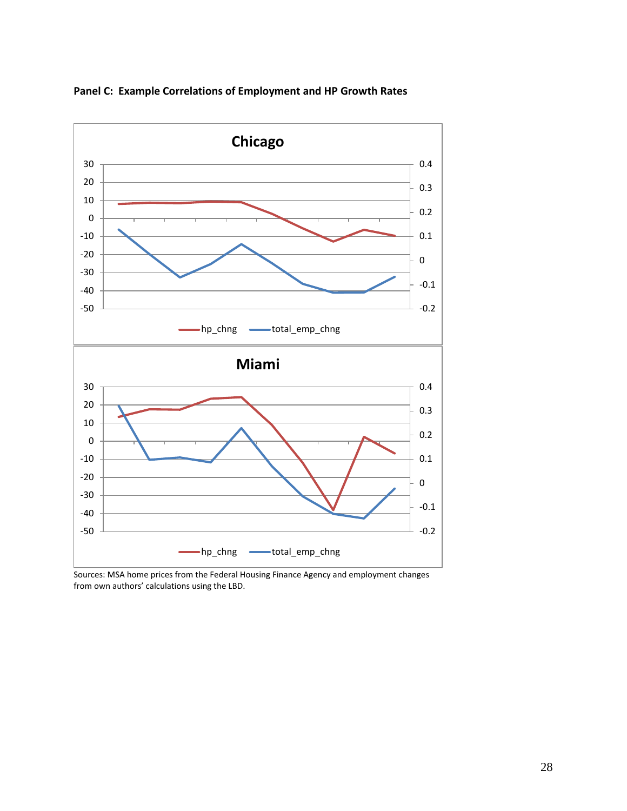

**Panel C: Example Correlations of Employment and HP Growth Rates** 

Sources: MSA home prices from the Federal Housing Finance Agency and employment changes from own authors' calculations using the LBD.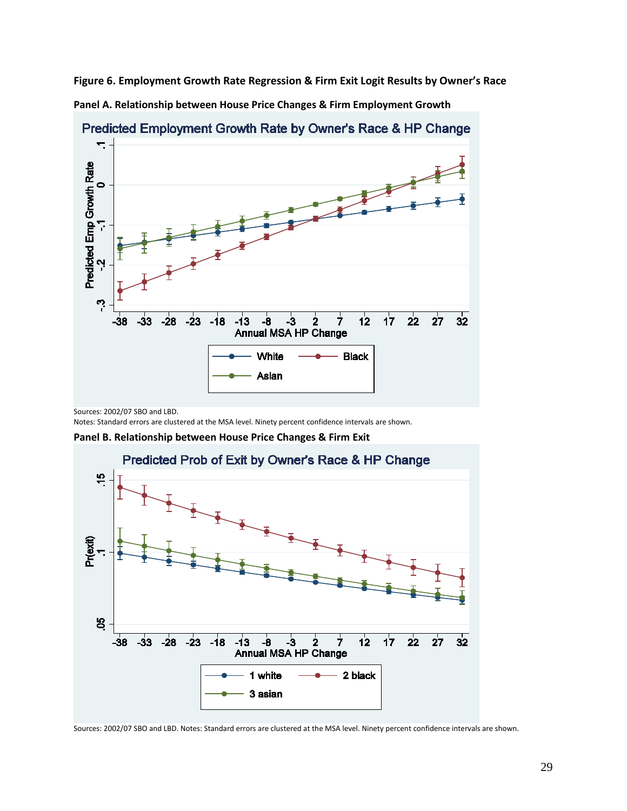**Panel A. Relationship between House Price Changes & Firm Employment Growth Figure 6. Employment Growth Rate Regression & Firm Exit Logit Results by Owner's Race** 



Predicted Employment Growth Rate by Owner's Race & HP Change.

Sources: 2002/07 SBO and LBD.

Notes: Standard errors are clustered at the MSA level. Ninety percent confidence intervals are shown.

**Panel B. Relationship between House Price Changes & Firm Exit** 

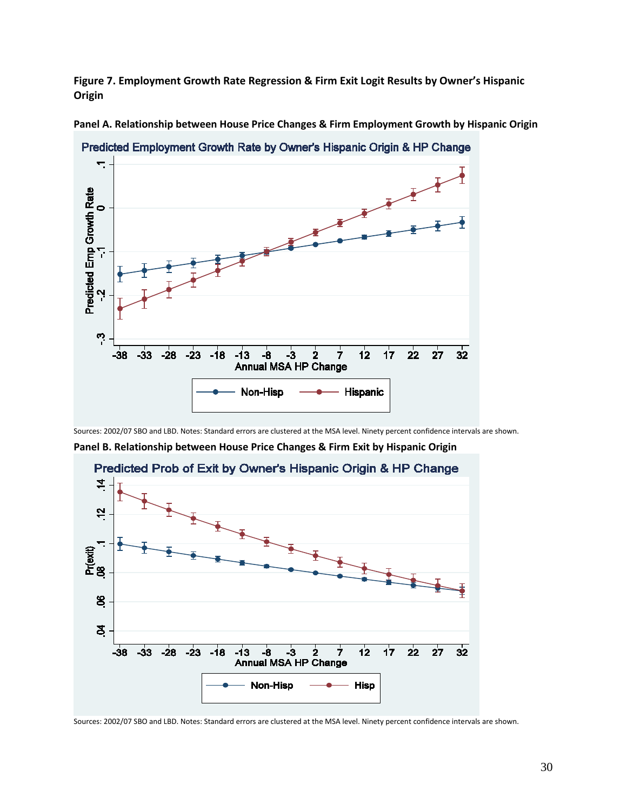**Figure 7. Employment Growth Rate Regression & Firm Exit Logit Results by Owner's Hispanic Origin** 



**Panel A. Relationship between House Price Changes & Firm Employment Growth by Hispanic Origin** 

Predicted Employment Growth Rate by Owner's Hispanic Origin & HP Change.

Sources: 2002/07 SBO and LBD. Notes: Standard errors are clustered at the MSA level. Ninety percent confidence intervals are shown.

 **Panel B. Relationship between House Price Changes & Firm Exit by Hispanic Origin** 



Predicted Prob of Exit by Owner's Hispanic Origin & HP Change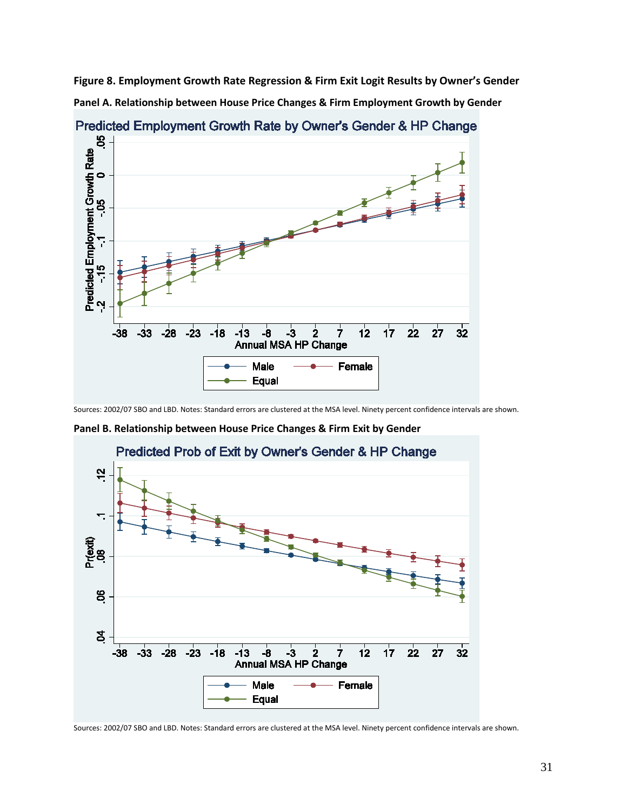**Panel A. Relationship between House Price Changes & Firm Employment Growth by Gender Figure 8. Employment Growth Rate Regression & Firm Exit Logit Results by Owner's Gender** 



Predicted Employment Growth Rate by Owner's Gender & HP Change.

Sources: 2002/07 SBO and LBD. Notes: Standard errors are clustered at the MSA level. Ninety percent confidence intervals are shown.

 **Panel B. Relationship between House Price Changes & Firm Exit by Gender** 

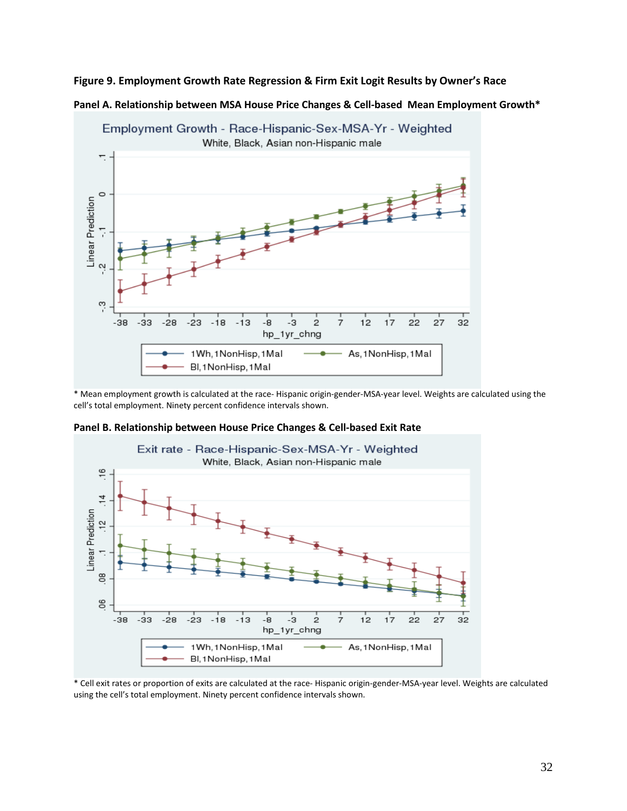#### **Figure 9. Employment Growth Rate Regression & Firm Exit Logit Results by Owner's Race**





\* Mean employment growth is calculated at the race- Hispanic origin-gender-MSA-year level. Weights are calculated using the cell's total employment. Ninety percent confidence intervals shown.



 **Panel B. Relationship between House Price Changes & Cell-based Exit Rate** 

\* Cell exit rates or proportion of exits are calculated at the race- Hispanic origin-gender-MSA-year level. Weights are calculated using the cell's total employment. Ninety percent confidence intervals shown.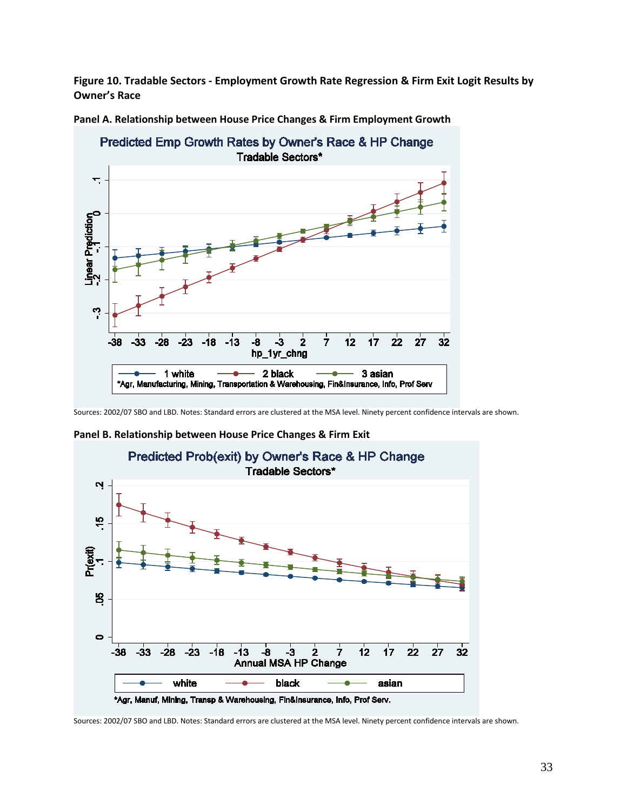**Figure 10. Tradable Sectors - Employment Growth Rate Regression & Firm Exit Logit Results by Owner's Race** 



**Panel A. Relationship between House Price Changes & Firm Employment Growth** 

**Panel B. Relationship between House Price Changes & Firm Exit** 



Sources: 2002/07 SBO and LBD. Notes: Standard errors are clustered at the MSA level. Ninety percent confidence intervals are shown.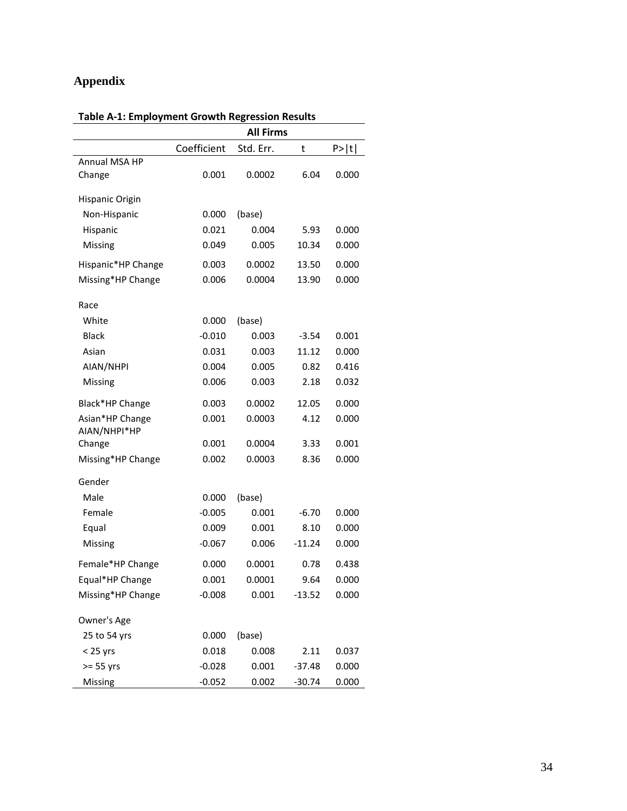# **Appendix**

|                    |             | <b>All Firms</b> |          |       |
|--------------------|-------------|------------------|----------|-------|
|                    | Coefficient | Std. Err.        | t        | P>  t |
| Annual MSA HP      |             |                  |          |       |
| Change             | 0.001       | 0.0002           | 6.04     | 0.000 |
| Hispanic Origin    |             |                  |          |       |
| Non-Hispanic       | 0.000       | (base)           |          |       |
| Hispanic           | 0.021       | 0.004            | 5.93     | 0.000 |
| Missing            | 0.049       | 0.005            | 10.34    | 0.000 |
|                    |             |                  | 13.50    |       |
| Hispanic*HP Change | 0.003       | 0.0002           |          | 0.000 |
| Missing*HP Change  | 0.006       | 0.0004           | 13.90    | 0.000 |
| Race               |             |                  |          |       |
| White              | 0.000       | (base)           |          |       |
| <b>Black</b>       | $-0.010$    | 0.003            | $-3.54$  | 0.001 |
| Asian              | 0.031       | 0.003            | 11.12    | 0.000 |
| AIAN/NHPI          | 0.004       | 0.005            | 0.82     | 0.416 |
| Missing            | 0.006       | 0.003            | 2.18     | 0.032 |
| Black*HP Change    | 0.003       | 0.0002           | 12.05    | 0.000 |
| Asian*HP Change    | 0.001       | 0.0003           | 4.12     | 0.000 |
| AIAN/NHPI*HP       |             |                  |          |       |
| Change             | 0.001       | 0.0004           | 3.33     | 0.001 |
| Missing*HP Change  | 0.002       | 0.0003           | 8.36     | 0.000 |
| Gender             |             |                  |          |       |
| Male               | 0.000       | (base)           |          |       |
| Female             | $-0.005$    | 0.001            | $-6.70$  | 0.000 |
| Equal              | 0.009       | 0.001            | 8.10     | 0.000 |
| Missing            | $-0.067$    | 0.006            | $-11.24$ | 0.000 |
| Female*HP Change   | 0.000       | 0.0001           | 0.78     | 0.438 |
| Equal*HP Change    | 0.001       | 0.0001           | 9.64     | 0.000 |
| Missing*HP Change  | $-0.008$    | 0.001            | $-13.52$ | 0.000 |
| Owner's Age        |             |                  |          |       |
| 25 to 54 yrs       | 0.000       | (base)           |          |       |
| $<$ 25 yrs         | 0.018       | 0.008            | 2.11     | 0.037 |
| $>= 55$ yrs        | $-0.028$    | 0.001            | $-37.48$ | 0.000 |
| Missing            | $-0.052$    | 0.002            | $-30.74$ | 0.000 |

#### **Table A-1: Employment Growth Regression Results**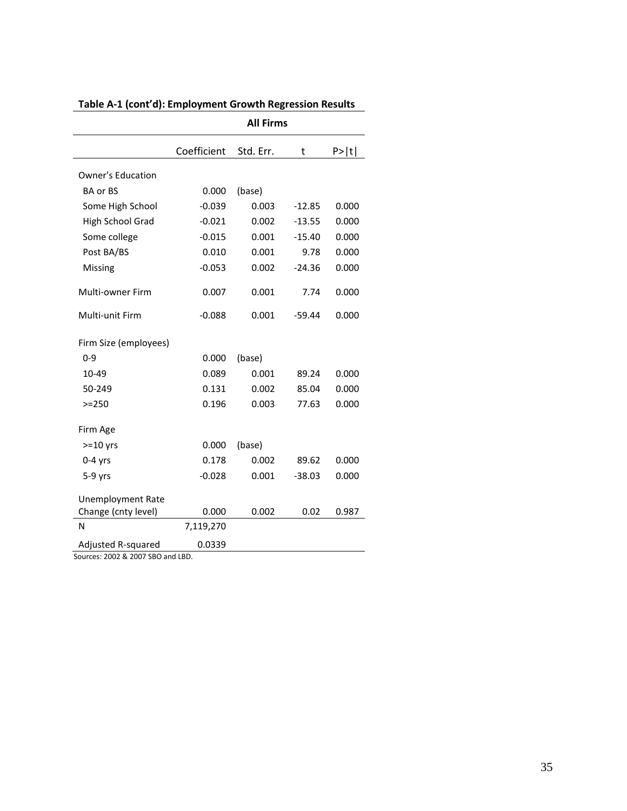|                          |             | <b>All Firms</b> |          |        |
|--------------------------|-------------|------------------|----------|--------|
|                          | Coefficient | Std. Err.        | t        | P >  t |
| <b>Owner's Education</b> |             |                  |          |        |
| <b>BA or BS</b>          | 0.000       | (base)           |          |        |
| Some High School         | $-0.039$    | 0.003            | $-12.85$ | 0.000  |
| High School Grad         | $-0.021$    | 0.002            | $-13.55$ | 0.000  |
| Some college             | $-0.015$    | 0.001            | $-15.40$ | 0.000  |
| Post BA/BS               | 0.010       | 0.001            | 9.78     | 0.000  |
| Missing                  | $-0.053$    | 0.002            | $-24.36$ | 0.000  |
| Multi-owner Firm         | 0.007       | 0.001            | 7.74     | 0.000  |
| Multi-unit Firm          | $-0.088$    | 0.001            | $-59.44$ | 0.000  |
| Firm Size (employees)    |             |                  |          |        |
| $0 - 9$                  | 0.000       | (base)           |          |        |
| 10-49                    | 0.089       | 0.001            | 89.24    | 0.000  |
| 50-249                   | 0.131       | 0.002            | 85.04    | 0.000  |
| $>=250$                  | 0.196       | 0.003            | 77.63    | 0.000  |
| Firm Age                 |             |                  |          |        |
| $>=10$ yrs               | 0.000       | (base)           |          |        |
| $0-4$ yrs                | 0.178       | 0.002            | 89.62    | 0.000  |
| $5-9$ yrs                | $-0.028$    | 0.001            | $-38.03$ | 0.000  |
| <b>Unemployment Rate</b> |             |                  |          |        |
| Change (cnty level)      | 0.000       | 0.002            | 0.02     | 0.987  |
| N                        | 7,119,270   |                  |          |        |
| Adjusted R-squared       | 0.0339      |                  |          |        |

# **Table A-1 (cont'd): Employment Growth Regression Results**

Sources: 2002 & 2007 SBO and LBD.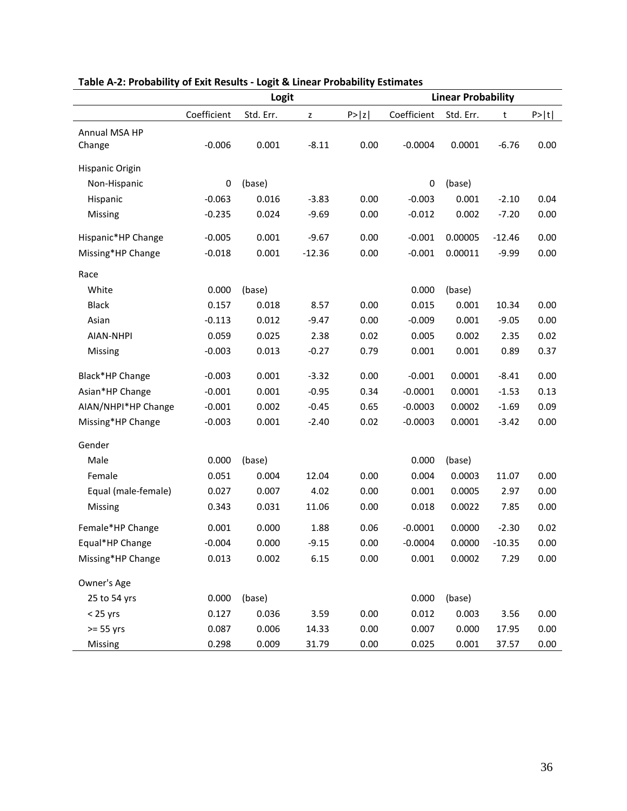|                     | Logit       |           |              |        | <b>Linear Probability</b> |           |          |        |
|---------------------|-------------|-----------|--------------|--------|---------------------------|-----------|----------|--------|
|                     | Coefficient | Std. Err. | $\mathsf{z}$ | P >  z | Coefficient               | Std. Err. | t        | P >  t |
| Annual MSA HP       |             |           |              |        |                           |           |          |        |
| Change              | $-0.006$    | 0.001     | $-8.11$      | 0.00   | $-0.0004$                 | 0.0001    | $-6.76$  | 0.00   |
| Hispanic Origin     |             |           |              |        |                           |           |          |        |
| Non-Hispanic        | 0           | (base)    |              |        | 0                         | (base)    |          |        |
| Hispanic            | $-0.063$    | 0.016     | $-3.83$      | 0.00   | $-0.003$                  | 0.001     | $-2.10$  | 0.04   |
| Missing             | $-0.235$    | 0.024     | $-9.69$      | 0.00   | $-0.012$                  | 0.002     | $-7.20$  | 0.00   |
| Hispanic*HP Change  | $-0.005$    | 0.001     | $-9.67$      | 0.00   | $-0.001$                  | 0.00005   | $-12.46$ | 0.00   |
| Missing*HP Change   | $-0.018$    | 0.001     | $-12.36$     | 0.00   | $-0.001$                  | 0.00011   | $-9.99$  | 0.00   |
|                     |             |           |              |        |                           |           |          |        |
| Race                |             |           |              |        |                           |           |          |        |
| White               | 0.000       | (base)    |              |        | 0.000                     | (base)    |          |        |
| <b>Black</b>        | 0.157       | 0.018     | 8.57         | 0.00   | 0.015                     | 0.001     | 10.34    | 0.00   |
| Asian               | $-0.113$    | 0.012     | $-9.47$      | 0.00   | $-0.009$                  | 0.001     | $-9.05$  | 0.00   |
| AIAN-NHPI           | 0.059       | 0.025     | 2.38         | 0.02   | 0.005                     | 0.002     | 2.35     | 0.02   |
| Missing             | $-0.003$    | 0.013     | $-0.27$      | 0.79   | 0.001                     | 0.001     | 0.89     | 0.37   |
| Black*HP Change     | $-0.003$    | 0.001     | $-3.32$      | 0.00   | $-0.001$                  | 0.0001    | $-8.41$  | 0.00   |
| Asian*HP Change     | $-0.001$    | 0.001     | $-0.95$      | 0.34   | $-0.0001$                 | 0.0001    | $-1.53$  | 0.13   |
| AIAN/NHPI*HP Change | $-0.001$    | 0.002     | $-0.45$      | 0.65   | $-0.0003$                 | 0.0002    | $-1.69$  | 0.09   |
| Missing*HP Change   | $-0.003$    | 0.001     | $-2.40$      | 0.02   | $-0.0003$                 | 0.0001    | $-3.42$  | 0.00   |
| Gender              |             |           |              |        |                           |           |          |        |
| Male                | 0.000       | (base)    |              |        | 0.000                     | (base)    |          |        |
| Female              | 0.051       | 0.004     | 12.04        | 0.00   | 0.004                     | 0.0003    | 11.07    | 0.00   |
| Equal (male-female) | 0.027       | 0.007     | 4.02         | 0.00   | 0.001                     | 0.0005    | 2.97     | 0.00   |
| Missing             | 0.343       | 0.031     | 11.06        | 0.00   | 0.018                     | 0.0022    | 7.85     | 0.00   |
| Female*HP Change    | 0.001       | 0.000     | 1.88         | 0.06   | $-0.0001$                 | 0.0000    | $-2.30$  | 0.02   |
| Equal*HP Change     | $-0.004$    | 0.000     | $-9.15$      | 0.00   | $-0.0004$                 | 0.0000    | $-10.35$ | 0.00   |
| Missing*HP Change   | 0.013       | 0.002     | 6.15         | 0.00   | 0.001                     | 0.0002    | 7.29     | 0.00   |
| Owner's Age         |             |           |              |        |                           |           |          |        |
| 25 to 54 yrs        | 0.000       | (base)    |              |        | 0.000                     | (base)    |          |        |
| $< 25$ yrs          | 0.127       | 0.036     | 3.59         | 0.00   | 0.012                     | 0.003     | 3.56     | 0.00   |
| $>= 55$ yrs         | 0.087       | 0.006     | 14.33        | 0.00   | 0.007                     | 0.000     | 17.95    | 0.00   |
| Missing             | 0.298       | 0.009     | 31.79        | 0.00   | 0.025                     | 0.001     | 37.57    | 0.00   |

## **Table A-2: Probability of Exit Results - Logit & Linear Probability Estimates**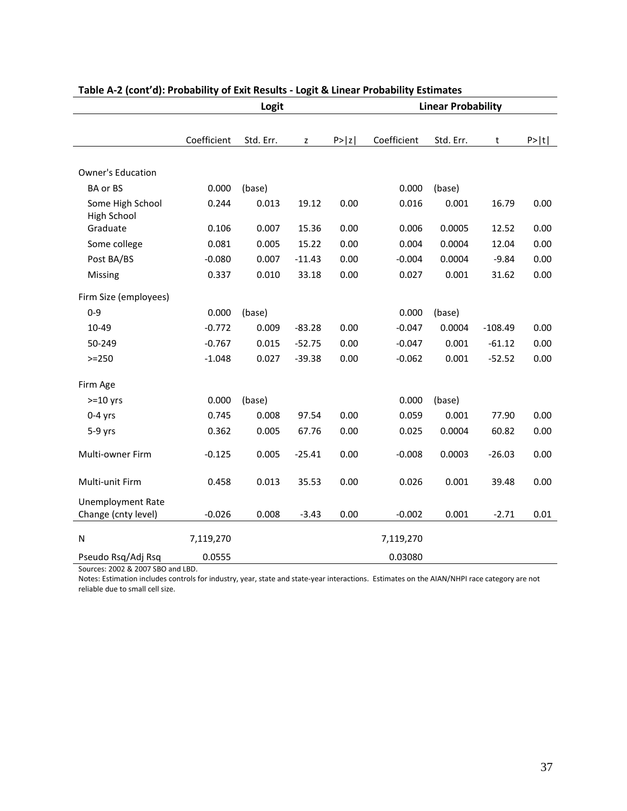|                                        | Logit       |           |          |        | <b>Linear Probability</b> |           |           |        |
|----------------------------------------|-------------|-----------|----------|--------|---------------------------|-----------|-----------|--------|
|                                        |             |           |          |        |                           |           |           |        |
|                                        | Coefficient | Std. Err. | Z        | P >  z | Coefficient               | Std. Err. | t         | P >  t |
|                                        |             |           |          |        |                           |           |           |        |
| <b>Owner's Education</b>               |             |           |          |        |                           |           |           |        |
| <b>BA or BS</b>                        | 0.000       | (base)    |          |        | 0.000                     | (base)    |           |        |
| Some High School<br><b>High School</b> | 0.244       | 0.013     | 19.12    | 0.00   | 0.016                     | 0.001     | 16.79     | 0.00   |
| Graduate                               | 0.106       | 0.007     | 15.36    | 0.00   | 0.006                     | 0.0005    | 12.52     | 0.00   |
| Some college                           | 0.081       | 0.005     | 15.22    | 0.00   | 0.004                     | 0.0004    | 12.04     | 0.00   |
| Post BA/BS                             | $-0.080$    | 0.007     | $-11.43$ | 0.00   | $-0.004$                  | 0.0004    | $-9.84$   | 0.00   |
| Missing                                | 0.337       | 0.010     | 33.18    | 0.00   | 0.027                     | 0.001     | 31.62     | 0.00   |
| Firm Size (employees)                  |             |           |          |        |                           |           |           |        |
| $0 - 9$                                | 0.000       | (base)    |          |        | 0.000                     | (base)    |           |        |
| 10-49                                  | $-0.772$    | 0.009     | $-83.28$ | 0.00   | $-0.047$                  | 0.0004    | $-108.49$ | 0.00   |
| 50-249                                 | $-0.767$    | 0.015     | $-52.75$ | 0.00   | $-0.047$                  | 0.001     | $-61.12$  | 0.00   |
| $>= 250$                               | $-1.048$    | 0.027     | $-39.38$ | 0.00   | $-0.062$                  | 0.001     | $-52.52$  | 0.00   |
| Firm Age                               |             |           |          |        |                           |           |           |        |
| $>=10$ yrs                             | 0.000       | (base)    |          |        | 0.000                     | (base)    |           |        |
|                                        |             | 0.008     |          | 0.00   |                           | 0.001     |           |        |
| $0-4$ yrs                              | 0.745       |           | 97.54    |        | 0.059                     |           | 77.90     | 0.00   |
| $5-9$ yrs                              | 0.362       | 0.005     | 67.76    | 0.00   | 0.025                     | 0.0004    | 60.82     | 0.00   |
| Multi-owner Firm                       | $-0.125$    | 0.005     | $-25.41$ | 0.00   | $-0.008$                  | 0.0003    | $-26.03$  | 0.00   |
|                                        |             |           |          |        |                           |           |           |        |
| Multi-unit Firm                        | 0.458       | 0.013     | 35.53    | 0.00   | 0.026                     | 0.001     | 39.48     | 0.00   |
| <b>Unemployment Rate</b>               |             |           |          |        |                           |           |           |        |
| Change (cnty level)                    | $-0.026$    | 0.008     | $-3.43$  | 0.00   | $-0.002$                  | 0.001     | $-2.71$   | 0.01   |
| N                                      | 7,119,270   |           |          |        | 7,119,270                 |           |           |        |
| Pseudo Rsq/Adj Rsq                     | 0.0555      |           |          |        | 0.03080                   |           |           |        |

#### **Table A-2 (cont'd): Probability of Exit Results - Logit & Linear Probability Estimates**

Sources: 2002 & 2007 SBO and LBD.

 Notes: Estimation includes controls for industry, year, state and state-year interactions. Estimates on the AIAN/NHPI race category are not reliable due to small cell size.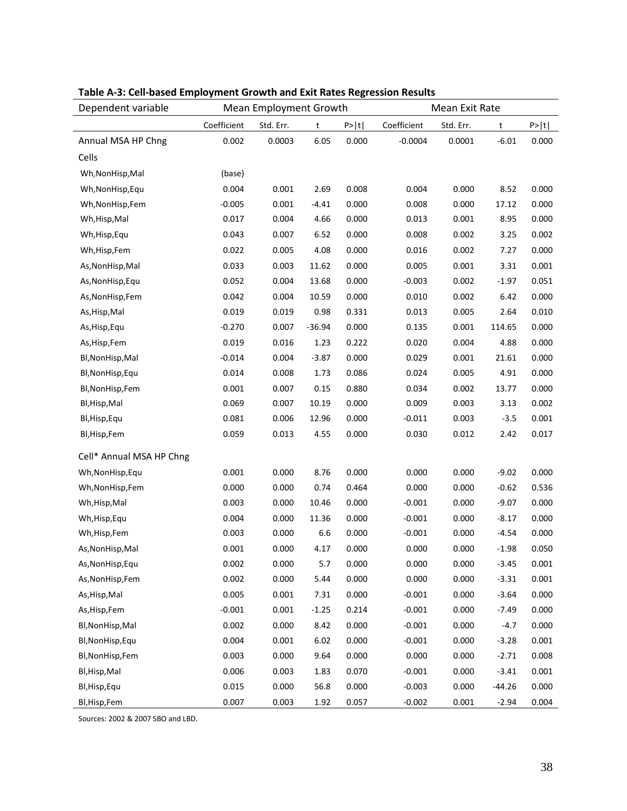| Dependent variable       | Mean Employment Growth |           |          | Mean Exit Rate |             |           |          |        |
|--------------------------|------------------------|-----------|----------|----------------|-------------|-----------|----------|--------|
|                          | Coefficient            | Std. Err. | t        | P >  t         | Coefficient | Std. Err. | t        | P >  t |
| Annual MSA HP Chng       | 0.002                  | 0.0003    | 6.05     | 0.000          | $-0.0004$   | 0.0001    | $-6.01$  | 0.000  |
| Cells                    |                        |           |          |                |             |           |          |        |
| Wh, Non Hisp, Mal        | (base)                 |           |          |                |             |           |          |        |
| Wh, Non Hisp, Equ        | 0.004                  | 0.001     | 2.69     | 0.008          | 0.004       | 0.000     | 8.52     | 0.000  |
| Wh, Non Hisp, Fem        | $-0.005$               | 0.001     | $-4.41$  | 0.000          | 0.008       | 0.000     | 17.12    | 0.000  |
| Wh, Hisp, Mal            | 0.017                  | 0.004     | 4.66     | 0.000          | 0.013       | 0.001     | 8.95     | 0.000  |
| Wh, Hisp, Equ            | 0.043                  | 0.007     | 6.52     | 0.000          | 0.008       | 0.002     | 3.25     | 0.002  |
| Wh, Hisp, Fem            | 0.022                  | 0.005     | 4.08     | 0.000          | 0.016       | 0.002     | 7.27     | 0.000  |
| As, NonHisp, Mal         | 0.033                  | 0.003     | 11.62    | 0.000          | 0.005       | 0.001     | 3.31     | 0.001  |
| As, NonHisp, Equ         | 0.052                  | 0.004     | 13.68    | 0.000          | $-0.003$    | 0.002     | $-1.97$  | 0.051  |
| As, NonHisp, Fem         | 0.042                  | 0.004     | 10.59    | 0.000          | 0.010       | 0.002     | 6.42     | 0.000  |
| As, Hisp, Mal            | 0.019                  | 0.019     | 0.98     | 0.331          | 0.013       | 0.005     | 2.64     | 0.010  |
| As, Hisp, Equ            | $-0.270$               | 0.007     | $-36.94$ | 0.000          | 0.135       | 0.001     | 114.65   | 0.000  |
| As, Hisp, Fem            | 0.019                  | 0.016     | 1.23     | 0.222          | 0.020       | 0.004     | 4.88     | 0.000  |
| Bl, NonHisp, Mal         | $-0.014$               | 0.004     | $-3.87$  | 0.000          | 0.029       | 0.001     | 21.61    | 0.000  |
| Bl, NonHisp, Equ         | 0.014                  | 0.008     | 1.73     | 0.086          | 0.024       | 0.005     | 4.91     | 0.000  |
| Bl, NonHisp, Fem         | 0.001                  | 0.007     | 0.15     | 0.880          | 0.034       | 0.002     | 13.77    | 0.000  |
| Bl, Hisp, Mal            | 0.069                  | 0.007     | 10.19    | 0.000          | 0.009       | 0.003     | 3.13     | 0.002  |
| Bl, Hisp, Equ            | 0.081                  | 0.006     | 12.96    | 0.000          | $-0.011$    | 0.003     | $-3.5$   | 0.001  |
| Bl, Hisp, Fem            | 0.059                  | 0.013     | 4.55     | 0.000          | 0.030       | 0.012     | 2.42     | 0.017  |
| Cell* Annual MSA HP Chng |                        |           |          |                |             |           |          |        |
| Wh, Non Hisp, Equ        | 0.001                  | 0.000     | 8.76     | 0.000          | 0.000       | 0.000     | $-9.02$  | 0.000  |
| Wh, Non Hisp, Fem        | 0.000                  | 0.000     | 0.74     | 0.464          | 0.000       | 0.000     | $-0.62$  | 0.536  |
| Wh, Hisp, Mal            | 0.003                  | 0.000     | 10.46    | 0.000          | $-0.001$    | 0.000     | $-9.07$  | 0.000  |
| Wh, Hisp, Equ            | 0.004                  | 0.000     | 11.36    | 0.000          | $-0.001$    | 0.000     | $-8.17$  | 0.000  |
| Wh, Hisp, Fem            | 0.003                  | 0.000     | 6.6      | 0.000          | $-0.001$    | 0.000     | $-4.54$  | 0.000  |
| As, NonHisp, Mal         | 0.001                  | 0.000     | 4.17     | 0.000          | 0.000       | 0.000     | $-1.98$  | 0.050  |
| As, NonHisp, Equ         | 0.002                  | 0.000     | 5.7      | 0.000          | 0.000       | 0.000     | $-3.45$  | 0.001  |
| As, NonHisp, Fem         | 0.002                  | 0.000     | 5.44     | 0.000          | 0.000       | 0.000     | $-3.31$  | 0.001  |
| As, Hisp, Mal            | 0.005                  | 0.001     | 7.31     | 0.000          | $-0.001$    | 0.000     | $-3.64$  | 0.000  |
| As, Hisp, Fem            | $-0.001$               | 0.001     | $-1.25$  | 0.214          | $-0.001$    | 0.000     | $-7.49$  | 0.000  |
| Bl, NonHisp, Mal         | 0.002                  | 0.000     | 8.42     | 0.000          | $-0.001$    | 0.000     | $-4.7$   | 0.000  |
| Bl, NonHisp, Equ         | 0.004                  | 0.001     | 6.02     | 0.000          | $-0.001$    | 0.000     | $-3.28$  | 0.001  |
| Bl, NonHisp, Fem         | 0.003                  | 0.000     | 9.64     | 0.000          | 0.000       | 0.000     | $-2.71$  | 0.008  |
| Bl, Hisp, Mal            | 0.006                  | 0.003     | 1.83     | 0.070          | $-0.001$    | 0.000     | $-3.41$  | 0.001  |
| Bl, Hisp, Equ            | 0.015                  | 0.000     | 56.8     | 0.000          | $-0.003$    | 0.000     | $-44.26$ | 0.000  |
| Bl, Hisp, Fem            | 0.007                  | 0.003     | 1.92     | 0.057          | $-0.002$    | 0.001     | $-2.94$  | 0.004  |

# **Table A-3: Cell-based Employment Growth and Exit Rates Regression Results**

Sources: 2002 & 2007 SBO and LBD.